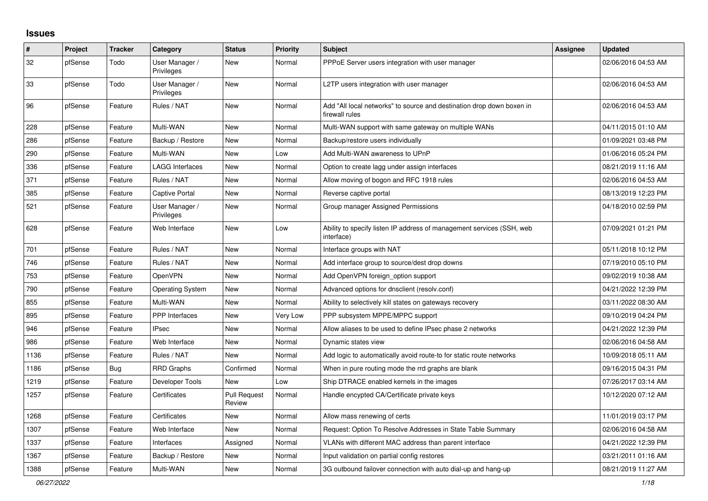## **Issues**

| #    | Project | <b>Tracker</b> | Category                     | <b>Status</b>                 | <b>Priority</b> | <b>Subject</b>                                                                          | <b>Assignee</b> | <b>Updated</b>      |
|------|---------|----------------|------------------------------|-------------------------------|-----------------|-----------------------------------------------------------------------------------------|-----------------|---------------------|
| 32   | pfSense | Todo           | User Manager /<br>Privileges | New                           | Normal          | PPPoE Server users integration with user manager                                        |                 | 02/06/2016 04:53 AM |
| 33   | pfSense | Todo           | User Manager /<br>Privileges | <b>New</b>                    | Normal          | L2TP users integration with user manager                                                |                 | 02/06/2016 04:53 AM |
| 96   | pfSense | Feature        | Rules / NAT                  | New                           | Normal          | Add "All local networks" to source and destination drop down boxen in<br>firewall rules |                 | 02/06/2016 04:53 AM |
| 228  | pfSense | Feature        | Multi-WAN                    | <b>New</b>                    | Normal          | Multi-WAN support with same gateway on multiple WANs                                    |                 | 04/11/2015 01:10 AM |
| 286  | pfSense | Feature        | Backup / Restore             | New                           | Normal          | Backup/restore users individually                                                       |                 | 01/09/2021 03:48 PM |
| 290  | pfSense | Feature        | Multi-WAN                    | <b>New</b>                    | Low             | Add Multi-WAN awareness to UPnP                                                         |                 | 01/06/2016 05:24 PM |
| 336  | pfSense | Feature        | <b>LAGG Interfaces</b>       | New                           | Normal          | Option to create lagg under assign interfaces                                           |                 | 08/21/2019 11:16 AM |
| 371  | pfSense | Feature        | Rules / NAT                  | New                           | Normal          | Allow moving of bogon and RFC 1918 rules                                                |                 | 02/06/2016 04:53 AM |
| 385  | pfSense | Feature        | <b>Captive Portal</b>        | New                           | Normal          | Reverse captive portal                                                                  |                 | 08/13/2019 12:23 PM |
| 521  | pfSense | Feature        | User Manager /<br>Privileges | New                           | Normal          | Group manager Assigned Permissions                                                      |                 | 04/18/2010 02:59 PM |
| 628  | pfSense | Feature        | Web Interface                | New                           | Low             | Ability to specify listen IP address of management services (SSH, web<br>interface)     |                 | 07/09/2021 01:21 PM |
| 701  | pfSense | Feature        | Rules / NAT                  | New                           | Normal          | Interface groups with NAT                                                               |                 | 05/11/2018 10:12 PM |
| 746  | pfSense | Feature        | Rules / NAT                  | New                           | Normal          | Add interface group to source/dest drop downs                                           |                 | 07/19/2010 05:10 PM |
| 753  | pfSense | Feature        | <b>OpenVPN</b>               | <b>New</b>                    | Normal          | Add OpenVPN foreign_option support                                                      |                 | 09/02/2019 10:38 AM |
| 790  | pfSense | Feature        | <b>Operating System</b>      | <b>New</b>                    | Normal          | Advanced options for dnsclient (resolv.conf)                                            |                 | 04/21/2022 12:39 PM |
| 855  | pfSense | Feature        | Multi-WAN                    | New                           | Normal          | Ability to selectively kill states on gateways recovery                                 |                 | 03/11/2022 08:30 AM |
| 895  | pfSense | Feature        | PPP Interfaces               | New                           | Very Low        | PPP subsystem MPPE/MPPC support                                                         |                 | 09/10/2019 04:24 PM |
| 946  | pfSense | Feature        | <b>IPsec</b>                 | New                           | Normal          | Allow aliases to be used to define IPsec phase 2 networks                               |                 | 04/21/2022 12:39 PM |
| 986  | pfSense | Feature        | Web Interface                | New                           | Normal          | Dynamic states view                                                                     |                 | 02/06/2016 04:58 AM |
| 1136 | pfSense | Feature        | Rules / NAT                  | New                           | Normal          | Add logic to automatically avoid route-to for static route networks                     |                 | 10/09/2018 05:11 AM |
| 1186 | pfSense | <b>Bug</b>     | <b>RRD Graphs</b>            | Confirmed                     | Normal          | When in pure routing mode the rrd graphs are blank                                      |                 | 09/16/2015 04:31 PM |
| 1219 | pfSense | Feature        | Developer Tools              | <b>New</b>                    | Low             | Ship DTRACE enabled kernels in the images                                               |                 | 07/26/2017 03:14 AM |
| 1257 | pfSense | Feature        | Certificates                 | <b>Pull Request</b><br>Review | Normal          | Handle encypted CA/Certificate private keys                                             |                 | 10/12/2020 07:12 AM |
| 1268 | pfSense | Feature        | Certificates                 | <b>New</b>                    | Normal          | Allow mass renewing of certs                                                            |                 | 11/01/2019 03:17 PM |
| 1307 | pfSense | Feature        | Web Interface                | New                           | Normal          | Request: Option To Resolve Addresses in State Table Summary                             |                 | 02/06/2016 04:58 AM |
| 1337 | pfSense | Feature        | Interfaces                   | Assigned                      | Normal          | VLANs with different MAC address than parent interface                                  |                 | 04/21/2022 12:39 PM |
| 1367 | pfSense | Feature        | Backup / Restore             | New                           | Normal          | Input validation on partial config restores                                             |                 | 03/21/2011 01:16 AM |
| 1388 | pfSense | Feature        | Multi-WAN                    | New                           | Normal          | 3G outbound failover connection with auto dial-up and hang-up                           |                 | 08/21/2019 11:27 AM |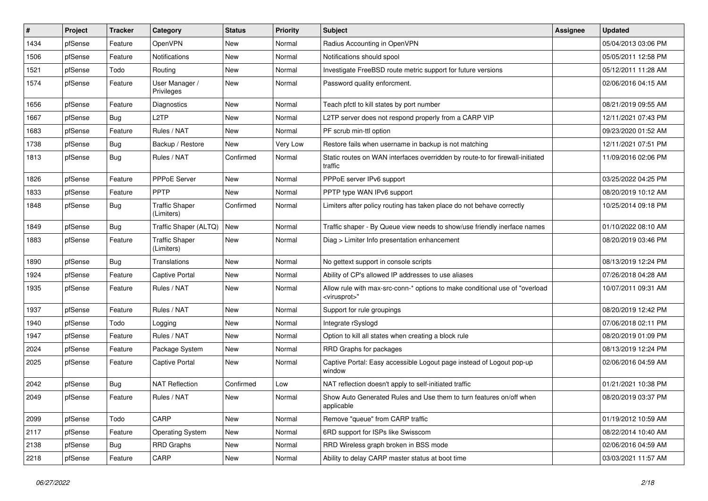| ∦    | Project | <b>Tracker</b> | Category                            | <b>Status</b> | <b>Priority</b> | Subject                                                                                                 | <b>Assignee</b> | <b>Updated</b>      |
|------|---------|----------------|-------------------------------------|---------------|-----------------|---------------------------------------------------------------------------------------------------------|-----------------|---------------------|
| 1434 | pfSense | Feature        | OpenVPN                             | New           | Normal          | Radius Accounting in OpenVPN                                                                            |                 | 05/04/2013 03:06 PM |
| 1506 | pfSense | Feature        | <b>Notifications</b>                | New           | Normal          | Notifications should spool                                                                              |                 | 05/05/2011 12:58 PM |
| 1521 | pfSense | Todo           | Routing                             | New           | Normal          | Investigate FreeBSD route metric support for future versions                                            |                 | 05/12/2011 11:28 AM |
| 1574 | pfSense | Feature        | User Manager /<br>Privileges        | New           | Normal          | Password quality enforcment.                                                                            |                 | 02/06/2016 04:15 AM |
| 1656 | pfSense | Feature        | <b>Diagnostics</b>                  | New           | Normal          | Teach pfctl to kill states by port number                                                               |                 | 08/21/2019 09:55 AM |
| 1667 | pfSense | <b>Bug</b>     | L <sub>2</sub> TP                   | New           | Normal          | L2TP server does not respond properly from a CARP VIP                                                   |                 | 12/11/2021 07:43 PM |
| 1683 | pfSense | Feature        | Rules / NAT                         | New           | Normal          | PF scrub min-ttl option                                                                                 |                 | 09/23/2020 01:52 AM |
| 1738 | pfSense | <b>Bug</b>     | Backup / Restore                    | New           | Very Low        | Restore fails when username in backup is not matching                                                   |                 | 12/11/2021 07:51 PM |
| 1813 | pfSense | <b>Bug</b>     | Rules / NAT                         | Confirmed     | Normal          | Static routes on WAN interfaces overridden by route-to for firewall-initiated<br>traffic                |                 | 11/09/2016 02:06 PM |
| 1826 | pfSense | Feature        | <b>PPPoE Server</b>                 | New           | Normal          | PPPoE server IPv6 support                                                                               |                 | 03/25/2022 04:25 PM |
| 1833 | pfSense | Feature        | PPTP                                | <b>New</b>    | Normal          | PPTP type WAN IPv6 support                                                                              |                 | 08/20/2019 10:12 AM |
| 1848 | pfSense | <b>Bug</b>     | <b>Traffic Shaper</b><br>(Limiters) | Confirmed     | Normal          | Limiters after policy routing has taken place do not behave correctly                                   |                 | 10/25/2014 09:18 PM |
| 1849 | pfSense | <b>Bug</b>     | Traffic Shaper (ALTQ)               | New           | Normal          | Traffic shaper - By Queue view needs to show/use friendly inerface names                                |                 | 01/10/2022 08:10 AM |
| 1883 | pfSense | Feature        | <b>Traffic Shaper</b><br>(Limiters) | New           | Normal          | Diag > Limiter Info presentation enhancement                                                            |                 | 08/20/2019 03:46 PM |
| 1890 | pfSense | <b>Bug</b>     | Translations                        | New           | Normal          | No gettext support in console scripts                                                                   |                 | 08/13/2019 12:24 PM |
| 1924 | pfSense | Feature        | <b>Captive Portal</b>               | New           | Normal          | Ability of CP's allowed IP addresses to use aliases                                                     |                 | 07/26/2018 04:28 AM |
| 1935 | pfSense | Feature        | Rules / NAT                         | New           | Normal          | Allow rule with max-src-conn-* options to make conditional use of "overload<br><virusprot>"</virusprot> |                 | 10/07/2011 09:31 AM |
| 1937 | pfSense | Feature        | Rules / NAT                         | New           | Normal          | Support for rule groupings                                                                              |                 | 08/20/2019 12:42 PM |
| 1940 | pfSense | Todo           | Logging                             | New           | Normal          | Integrate rSyslogd                                                                                      |                 | 07/06/2018 02:11 PM |
| 1947 | pfSense | Feature        | Rules / NAT                         | New           | Normal          | Option to kill all states when creating a block rule                                                    |                 | 08/20/2019 01:09 PM |
| 2024 | pfSense | Feature        | Package System                      | New           | Normal          | RRD Graphs for packages                                                                                 |                 | 08/13/2019 12:24 PM |
| 2025 | pfSense | Feature        | Captive Portal                      | New           | Normal          | Captive Portal: Easy accessible Logout page instead of Logout pop-up<br>window                          |                 | 02/06/2016 04:59 AM |
| 2042 | pfSense | <b>Bug</b>     | <b>NAT Reflection</b>               | Confirmed     | Low             | NAT reflection doesn't apply to self-initiated traffic                                                  |                 | 01/21/2021 10:38 PM |
| 2049 | pfSense | Feature        | Rules / NAT                         | New           | Normal          | Show Auto Generated Rules and Use them to turn features on/off when<br>applicable                       |                 | 08/20/2019 03:37 PM |
| 2099 | pfSense | Todo           | CARP                                | New           | Normal          | Remove "queue" from CARP traffic                                                                        |                 | 01/19/2012 10:59 AM |
| 2117 | pfSense | Feature        | <b>Operating System</b>             | New           | Normal          | 6RD support for ISPs like Swisscom                                                                      |                 | 08/22/2014 10:40 AM |
| 2138 | pfSense | Bug            | <b>RRD Graphs</b>                   | New           | Normal          | RRD Wireless graph broken in BSS mode                                                                   |                 | 02/06/2016 04:59 AM |
| 2218 | pfSense | Feature        | CARP                                | New           | Normal          | Ability to delay CARP master status at boot time                                                        |                 | 03/03/2021 11:57 AM |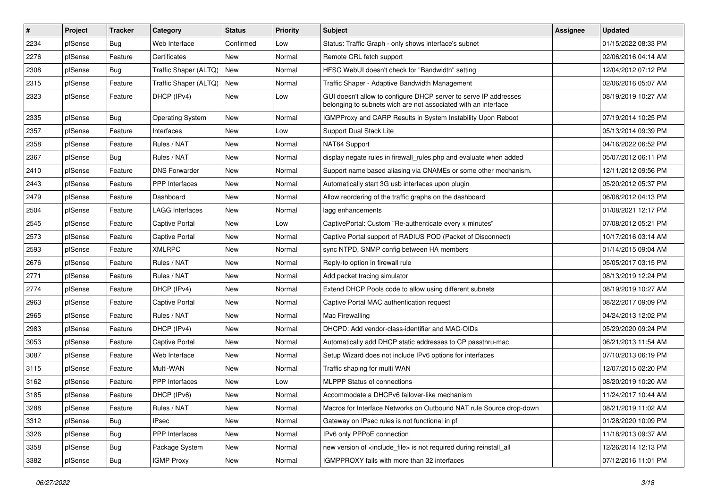| $\vert$ # | Project | <b>Tracker</b> | Category                | <b>Status</b> | <b>Priority</b> | Subject                                                                                                                            | <b>Assignee</b> | <b>Updated</b>      |
|-----------|---------|----------------|-------------------------|---------------|-----------------|------------------------------------------------------------------------------------------------------------------------------------|-----------------|---------------------|
| 2234      | pfSense | Bug            | Web Interface           | Confirmed     | Low             | Status: Traffic Graph - only shows interface's subnet                                                                              |                 | 01/15/2022 08:33 PM |
| 2276      | pfSense | Feature        | Certificates            | New           | Normal          | Remote CRL fetch support                                                                                                           |                 | 02/06/2016 04:14 AM |
| 2308      | pfSense | <b>Bug</b>     | Traffic Shaper (ALTQ)   | New           | Normal          | HFSC WebUI doesn't check for "Bandwidth" setting                                                                                   |                 | 12/04/2012 07:12 PM |
| 2315      | pfSense | Feature        | Traffic Shaper (ALTQ)   | New           | Normal          | Traffic Shaper - Adaptive Bandwidth Management                                                                                     |                 | 02/06/2016 05:07 AM |
| 2323      | pfSense | Feature        | DHCP (IPv4)             | New           | Low             | GUI doesn't allow to configure DHCP server to serve IP addresses<br>belonging to subnets wich are not associated with an interface |                 | 08/19/2019 10:27 AM |
| 2335      | pfSense | <b>Bug</b>     | <b>Operating System</b> | New           | Normal          | IGMPProxy and CARP Results in System Instability Upon Reboot                                                                       |                 | 07/19/2014 10:25 PM |
| 2357      | pfSense | Feature        | Interfaces              | New           | Low             | Support Dual Stack Lite                                                                                                            |                 | 05/13/2014 09:39 PM |
| 2358      | pfSense | Feature        | Rules / NAT             | New           | Normal          | NAT64 Support                                                                                                                      |                 | 04/16/2022 06:52 PM |
| 2367      | pfSense | <b>Bug</b>     | Rules / NAT             | New           | Normal          | display negate rules in firewall_rules.php and evaluate when added                                                                 |                 | 05/07/2012 06:11 PM |
| 2410      | pfSense | Feature        | <b>DNS Forwarder</b>    | New           | Normal          | Support name based aliasing via CNAMEs or some other mechanism.                                                                    |                 | 12/11/2012 09:56 PM |
| 2443      | pfSense | Feature        | PPP Interfaces          | New           | Normal          | Automatically start 3G usb interfaces upon plugin                                                                                  |                 | 05/20/2012 05:37 PM |
| 2479      | pfSense | Feature        | Dashboard               | New           | Normal          | Allow reordering of the traffic graphs on the dashboard                                                                            |                 | 06/08/2012 04:13 PM |
| 2504      | pfSense | Feature        | LAGG Interfaces         | New           | Normal          | lagg enhancements                                                                                                                  |                 | 01/08/2021 12:17 PM |
| 2545      | pfSense | Feature        | <b>Captive Portal</b>   | New           | Low             | CaptivePortal: Custom "Re-authenticate every x minutes"                                                                            |                 | 07/08/2012 05:21 PM |
| 2573      | pfSense | Feature        | <b>Captive Portal</b>   | New           | Normal          | Captive Portal support of RADIUS POD (Packet of Disconnect)                                                                        |                 | 10/17/2016 03:14 AM |
| 2593      | pfSense | Feature        | <b>XMLRPC</b>           | New           | Normal          | sync NTPD, SNMP config between HA members                                                                                          |                 | 01/14/2015 09:04 AM |
| 2676      | pfSense | Feature        | Rules / NAT             | New           | Normal          | Reply-to option in firewall rule                                                                                                   |                 | 05/05/2017 03:15 PM |
| 2771      | pfSense | Feature        | Rules / NAT             | New           | Normal          | Add packet tracing simulator                                                                                                       |                 | 08/13/2019 12:24 PM |
| 2774      | pfSense | Feature        | DHCP (IPv4)             | New           | Normal          | Extend DHCP Pools code to allow using different subnets                                                                            |                 | 08/19/2019 10:27 AM |
| 2963      | pfSense | Feature        | Captive Portal          | New           | Normal          | Captive Portal MAC authentication request                                                                                          |                 | 08/22/2017 09:09 PM |
| 2965      | pfSense | Feature        | Rules / NAT             | New           | Normal          | Mac Firewalling                                                                                                                    |                 | 04/24/2013 12:02 PM |
| 2983      | pfSense | Feature        | DHCP (IPv4)             | New           | Normal          | DHCPD: Add vendor-class-identifier and MAC-OIDs                                                                                    |                 | 05/29/2020 09:24 PM |
| 3053      | pfSense | Feature        | Captive Portal          | New           | Normal          | Automatically add DHCP static addresses to CP passthru-mac                                                                         |                 | 06/21/2013 11:54 AM |
| 3087      | pfSense | Feature        | Web Interface           | New           | Normal          | Setup Wizard does not include IPv6 options for interfaces                                                                          |                 | 07/10/2013 06:19 PM |
| 3115      | pfSense | Feature        | Multi-WAN               | New           | Normal          | Traffic shaping for multi WAN                                                                                                      |                 | 12/07/2015 02:20 PM |
| 3162      | pfSense | Feature        | PPP Interfaces          | New           | Low             | <b>MLPPP Status of connections</b>                                                                                                 |                 | 08/20/2019 10:20 AM |
| 3185      | pfSense | Feature        | DHCP (IPv6)             | New           | Normal          | Accommodate a DHCPv6 failover-like mechanism                                                                                       |                 | 11/24/2017 10:44 AM |
| 3288      | pfSense | Feature        | Rules / NAT             | New           | Normal          | Macros for Interface Networks on Outbound NAT rule Source drop-down                                                                |                 | 08/21/2019 11:02 AM |
| 3312      | pfSense | Bug            | <b>IPsec</b>            | New           | Normal          | Gateway on IPsec rules is not functional in pf                                                                                     |                 | 01/28/2020 10:09 PM |
| 3326      | pfSense | <b>Bug</b>     | PPP Interfaces          | New           | Normal          | IPv6 only PPPoE connection                                                                                                         |                 | 11/18/2013 09:37 AM |
| 3358      | pfSense | <b>Bug</b>     | Package System          | New           | Normal          | new version of <include_file> is not required during reinstall_all</include_file>                                                  |                 | 12/26/2014 12:13 PM |
| 3382      | pfSense | <b>Bug</b>     | <b>IGMP Proxy</b>       | New           | Normal          | IGMPPROXY fails with more than 32 interfaces                                                                                       |                 | 07/12/2016 11:01 PM |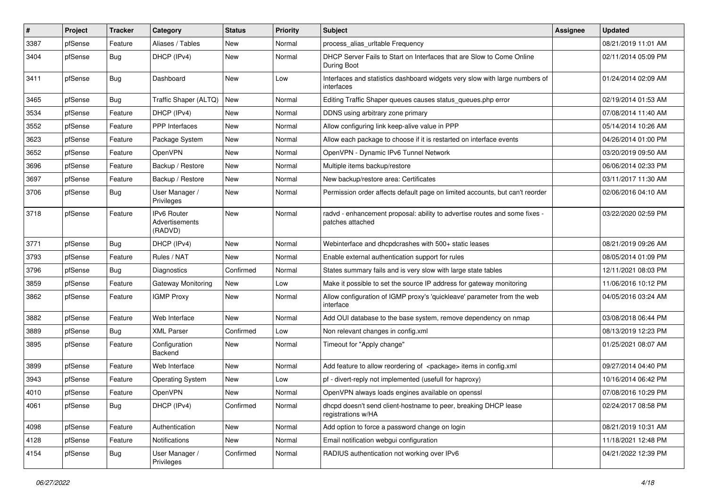| $\vert$ # | Project | <b>Tracker</b> | Category                                 | <b>Status</b> | <b>Priority</b> | Subject                                                                                        | <b>Assignee</b> | <b>Updated</b>      |
|-----------|---------|----------------|------------------------------------------|---------------|-----------------|------------------------------------------------------------------------------------------------|-----------------|---------------------|
| 3387      | pfSense | Feature        | Aliases / Tables                         | New           | Normal          | process_alias_urltable Frequency                                                               |                 | 08/21/2019 11:01 AM |
| 3404      | pfSense | <b>Bug</b>     | DHCP (IPv4)                              | New           | Normal          | DHCP Server Fails to Start on Interfaces that are Slow to Come Online<br>During Boot           |                 | 02/11/2014 05:09 PM |
| 3411      | pfSense | <b>Bug</b>     | Dashboard                                | New           | Low             | Interfaces and statistics dashboard widgets very slow with large numbers of<br>interfaces      |                 | 01/24/2014 02:09 AM |
| 3465      | pfSense | <b>Bug</b>     | Traffic Shaper (ALTQ)                    | New           | Normal          | Editing Traffic Shaper queues causes status queues.php error                                   |                 | 02/19/2014 01:53 AM |
| 3534      | pfSense | Feature        | DHCP (IPv4)                              | New           | Normal          | DDNS using arbitrary zone primary                                                              |                 | 07/08/2014 11:40 AM |
| 3552      | pfSense | Feature        | PPP Interfaces                           | <b>New</b>    | Normal          | Allow configuring link keep-alive value in PPP                                                 |                 | 05/14/2014 10:26 AM |
| 3623      | pfSense | Feature        | Package System                           | New           | Normal          | Allow each package to choose if it is restarted on interface events                            |                 | 04/26/2014 01:00 PM |
| 3652      | pfSense | Feature        | OpenVPN                                  | <b>New</b>    | Normal          | OpenVPN - Dynamic IPv6 Tunnel Network                                                          |                 | 03/20/2019 09:50 AM |
| 3696      | pfSense | Feature        | Backup / Restore                         | New           | Normal          | Multiple items backup/restore                                                                  |                 | 06/06/2014 02:33 PM |
| 3697      | pfSense | Feature        | Backup / Restore                         | New           | Normal          | New backup/restore area: Certificates                                                          |                 | 03/11/2017 11:30 AM |
| 3706      | pfSense | Bug            | User Manager /<br>Privileges             | <b>New</b>    | Normal          | Permission order affects default page on limited accounts, but can't reorder                   |                 | 02/06/2016 04:10 AM |
| 3718      | pfSense | Feature        | IPv6 Router<br>Advertisements<br>(RADVD) | New           | Normal          | radvd - enhancement proposal: ability to advertise routes and some fixes -<br>patches attached |                 | 03/22/2020 02:59 PM |
| 3771      | pfSense | <b>Bug</b>     | DHCP (IPv4)                              | New           | Normal          | Webinterface and dhcpdcrashes with 500+ static leases                                          |                 | 08/21/2019 09:26 AM |
| 3793      | pfSense | Feature        | Rules / NAT                              | New           | Normal          | Enable external authentication support for rules                                               |                 | 08/05/2014 01:09 PM |
| 3796      | pfSense | <b>Bug</b>     | <b>Diagnostics</b>                       | Confirmed     | Normal          | States summary fails and is very slow with large state tables                                  |                 | 12/11/2021 08:03 PM |
| 3859      | pfSense | Feature        | Gateway Monitoring                       | <b>New</b>    | Low             | Make it possible to set the source IP address for gateway monitoring                           |                 | 11/06/2016 10:12 PM |
| 3862      | pfSense | Feature        | <b>IGMP Proxy</b>                        | New           | Normal          | Allow configuration of IGMP proxy's 'quickleave' parameter from the web<br>interface           |                 | 04/05/2016 03:24 AM |
| 3882      | pfSense | Feature        | Web Interface                            | <b>New</b>    | Normal          | Add OUI database to the base system, remove dependency on nmap                                 |                 | 03/08/2018 06:44 PM |
| 3889      | pfSense | <b>Bug</b>     | <b>XML Parser</b>                        | Confirmed     | Low             | Non relevant changes in config.xml                                                             |                 | 08/13/2019 12:23 PM |
| 3895      | pfSense | Feature        | Configuration<br><b>Backend</b>          | New           | Normal          | Timeout for "Apply change"                                                                     |                 | 01/25/2021 08:07 AM |
| 3899      | pfSense | Feature        | Web Interface                            | <b>New</b>    | Normal          | Add feature to allow reordering of <package> items in config.xml</package>                     |                 | 09/27/2014 04:40 PM |
| 3943      | pfSense | Feature        | <b>Operating System</b>                  | New           | Low             | pf - divert-reply not implemented (usefull for haproxy)                                        |                 | 10/16/2014 06:42 PM |
| 4010      | pfSense | Feature        | OpenVPN                                  | New           | Normal          | OpenVPN always loads engines available on openssl                                              |                 | 07/08/2016 10:29 PM |
| 4061      | pfSense | <b>Bug</b>     | DHCP (IPv4)                              | Confirmed     | Normal          | dhcpd doesn't send client-hostname to peer, breaking DHCP lease<br>registrations w/HA          |                 | 02/24/2017 08:58 PM |
| 4098      | pfSense | Feature        | Authentication                           | New           | Normal          | Add option to force a password change on login                                                 |                 | 08/21/2019 10:31 AM |
| 4128      | pfSense | Feature        | Notifications                            | New           | Normal          | Email notification webgui configuration                                                        |                 | 11/18/2021 12:48 PM |
| 4154      | pfSense | <b>Bug</b>     | User Manager /<br>Privileges             | Confirmed     | Normal          | RADIUS authentication not working over IPv6                                                    |                 | 04/21/2022 12:39 PM |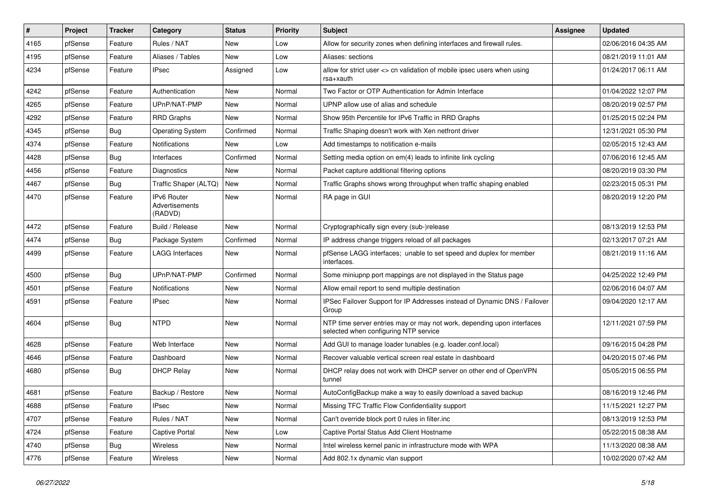| #    | Project | <b>Tracker</b> | Category                                        | <b>Status</b> | <b>Priority</b> | Subject                                                                                                         | <b>Assignee</b> | <b>Updated</b>      |
|------|---------|----------------|-------------------------------------------------|---------------|-----------------|-----------------------------------------------------------------------------------------------------------------|-----------------|---------------------|
| 4165 | pfSense | Feature        | Rules / NAT                                     | New           | Low             | Allow for security zones when defining interfaces and firewall rules.                                           |                 | 02/06/2016 04:35 AM |
| 4195 | pfSense | Feature        | Aliases / Tables                                | New           | Low             | Aliases: sections                                                                                               |                 | 08/21/2019 11:01 AM |
| 4234 | pfSense | Feature        | <b>IPsec</b>                                    | Assigned      | Low             | allow for strict user <> cn validation of mobile ipsec users when using<br>rsa+xauth                            |                 | 01/24/2017 06:11 AM |
| 4242 | pfSense | Feature        | Authentication                                  | New           | Normal          | Two Factor or OTP Authentication for Admin Interface                                                            |                 | 01/04/2022 12:07 PM |
| 4265 | pfSense | Feature        | UPnP/NAT-PMP                                    | New           | Normal          | UPNP allow use of alias and schedule                                                                            |                 | 08/20/2019 02:57 PM |
| 4292 | pfSense | Feature        | <b>RRD Graphs</b>                               | New           | Normal          | Show 95th Percentile for IPv6 Traffic in RRD Graphs                                                             |                 | 01/25/2015 02:24 PM |
| 4345 | pfSense | <b>Bug</b>     | <b>Operating System</b>                         | Confirmed     | Normal          | Traffic Shaping doesn't work with Xen netfront driver                                                           |                 | 12/31/2021 05:30 PM |
| 4374 | pfSense | Feature        | <b>Notifications</b>                            | New           | Low             | Add timestamps to notification e-mails                                                                          |                 | 02/05/2015 12:43 AM |
| 4428 | pfSense | <b>Bug</b>     | Interfaces                                      | Confirmed     | Normal          | Setting media option on em(4) leads to infinite link cycling                                                    |                 | 07/06/2016 12:45 AM |
| 4456 | pfSense | Feature        | <b>Diagnostics</b>                              | New           | Normal          | Packet capture additional filtering options                                                                     |                 | 08/20/2019 03:30 PM |
| 4467 | pfSense | <b>Bug</b>     | Traffic Shaper (ALTQ)                           | <b>New</b>    | Normal          | Traffic Graphs shows wrong throughput when traffic shaping enabled                                              |                 | 02/23/2015 05:31 PM |
| 4470 | pfSense | Feature        | <b>IPv6 Router</b><br>Advertisements<br>(RADVD) | <b>New</b>    | Normal          | RA page in GUI                                                                                                  |                 | 08/20/2019 12:20 PM |
| 4472 | pfSense | Feature        | Build / Release                                 | <b>New</b>    | Normal          | Cryptographically sign every (sub-)release                                                                      |                 | 08/13/2019 12:53 PM |
| 4474 | pfSense | Bug            | Package System                                  | Confirmed     | Normal          | IP address change triggers reload of all packages                                                               |                 | 02/13/2017 07:21 AM |
| 4499 | pfSense | Feature        | <b>LAGG Interfaces</b>                          | New           | Normal          | pfSense LAGG interfaces; unable to set speed and duplex for member<br>interfaces.                               |                 | 08/21/2019 11:16 AM |
| 4500 | pfSense | <b>Bug</b>     | UPnP/NAT-PMP                                    | Confirmed     | Normal          | Some miniupnp port mappings are not displayed in the Status page                                                |                 | 04/25/2022 12:49 PM |
| 4501 | pfSense | Feature        | <b>Notifications</b>                            | <b>New</b>    | Normal          | Allow email report to send multiple destination                                                                 |                 | 02/06/2016 04:07 AM |
| 4591 | pfSense | Feature        | <b>IPsec</b>                                    | New           | Normal          | IPSec Failover Support for IP Addresses instead of Dynamic DNS / Failover<br>Group                              |                 | 09/04/2020 12:17 AM |
| 4604 | pfSense | <b>Bug</b>     | <b>NTPD</b>                                     | <b>New</b>    | Normal          | NTP time server entries may or may not work, depending upon interfaces<br>selected when configuring NTP service |                 | 12/11/2021 07:59 PM |
| 4628 | pfSense | Feature        | Web Interface                                   | New           | Normal          | Add GUI to manage loader tunables (e.g. loader.conf.local)                                                      |                 | 09/16/2015 04:28 PM |
| 4646 | pfSense | Feature        | Dashboard                                       | New           | Normal          | Recover valuable vertical screen real estate in dashboard                                                       |                 | 04/20/2015 07:46 PM |
| 4680 | pfSense | <b>Bug</b>     | <b>DHCP Relay</b>                               | New           | Normal          | DHCP relay does not work with DHCP server on other end of OpenVPN<br>tunnel                                     |                 | 05/05/2015 06:55 PM |
| 4681 | pfSense | Feature        | Backup / Restore                                | New           | Normal          | AutoConfigBackup make a way to easily download a saved backup                                                   |                 | 08/16/2019 12:46 PM |
| 4688 | pfSense | Feature        | IPsec                                           | New           | Normal          | Missing TFC Traffic Flow Confidentiality support                                                                |                 | 11/15/2021 12:27 PM |
| 4707 | pfSense | Feature        | Rules / NAT                                     | New           | Normal          | Can't override block port 0 rules in filter.inc                                                                 |                 | 08/13/2019 12:53 PM |
| 4724 | pfSense | Feature        | Captive Portal                                  | New           | Low             | Captive Portal Status Add Client Hostname                                                                       |                 | 05/22/2015 08:38 AM |
| 4740 | pfSense | <b>Bug</b>     | Wireless                                        | New           | Normal          | Intel wireless kernel panic in infrastructure mode with WPA                                                     |                 | 11/13/2020 08:38 AM |
| 4776 | pfSense | Feature        | Wireless                                        | New           | Normal          | Add 802.1x dynamic vlan support                                                                                 |                 | 10/02/2020 07:42 AM |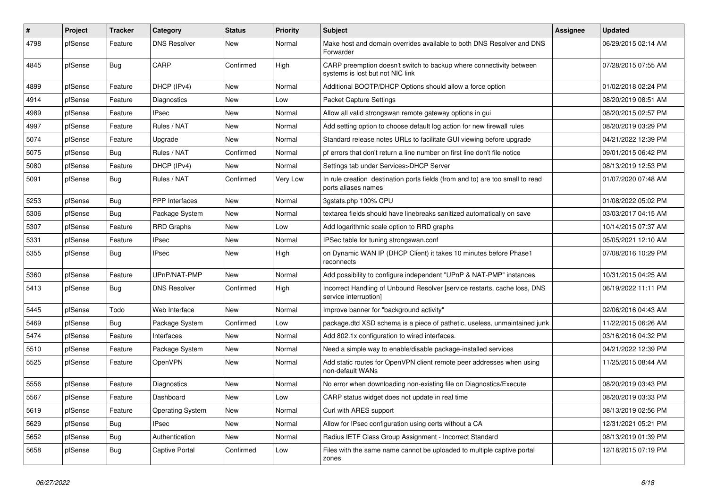| $\sharp$ | Project | <b>Tracker</b> | Category                | <b>Status</b> | <b>Priority</b> | <b>Subject</b>                                                                                          | Assignee | <b>Updated</b>      |
|----------|---------|----------------|-------------------------|---------------|-----------------|---------------------------------------------------------------------------------------------------------|----------|---------------------|
| 4798     | pfSense | Feature        | <b>DNS Resolver</b>     | New           | Normal          | Make host and domain overrides available to both DNS Resolver and DNS<br>Forwarder                      |          | 06/29/2015 02:14 AM |
| 4845     | pfSense | Bug            | CARP                    | Confirmed     | High            | CARP preemption doesn't switch to backup where connectivity between<br>systems is lost but not NIC link |          | 07/28/2015 07:55 AM |
| 4899     | pfSense | Feature        | DHCP (IPv4)             | New           | Normal          | Additional BOOTP/DHCP Options should allow a force option                                               |          | 01/02/2018 02:24 PM |
| 4914     | pfSense | Feature        | <b>Diagnostics</b>      | New           | Low             | <b>Packet Capture Settings</b>                                                                          |          | 08/20/2019 08:51 AM |
| 4989     | pfSense | Feature        | <b>IPsec</b>            | New           | Normal          | Allow all valid strongswan remote gateway options in gui                                                |          | 08/20/2015 02:57 PM |
| 4997     | pfSense | Feature        | Rules / NAT             | New           | Normal          | Add setting option to choose default log action for new firewall rules                                  |          | 08/20/2019 03:29 PM |
| 5074     | pfSense | Feature        | Upgrade                 | New           | Normal          | Standard release notes URLs to facilitate GUI viewing before upgrade                                    |          | 04/21/2022 12:39 PM |
| 5075     | pfSense | <b>Bug</b>     | Rules / NAT             | Confirmed     | Normal          | pf errors that don't return a line number on first line don't file notice                               |          | 09/01/2015 06:42 PM |
| 5080     | pfSense | Feature        | DHCP (IPv4)             | New           | Normal          | Settings tab under Services>DHCP Server                                                                 |          | 08/13/2019 12:53 PM |
| 5091     | pfSense | Bug            | Rules / NAT             | Confirmed     | Very Low        | In rule creation destination ports fields (from and to) are too small to read<br>ports aliases names    |          | 01/07/2020 07:48 AM |
| 5253     | pfSense | <b>Bug</b>     | PPP Interfaces          | New           | Normal          | 3qstats.php 100% CPU                                                                                    |          | 01/08/2022 05:02 PM |
| 5306     | pfSense | <b>Bug</b>     | Package System          | <b>New</b>    | Normal          | textarea fields should have linebreaks sanitized automatically on save                                  |          | 03/03/2017 04:15 AM |
| 5307     | pfSense | Feature        | <b>RRD Graphs</b>       | New           | Low             | Add logarithmic scale option to RRD graphs                                                              |          | 10/14/2015 07:37 AM |
| 5331     | pfSense | Feature        | <b>IPsec</b>            | New           | Normal          | IPSec table for tuning strongswan.conf                                                                  |          | 05/05/2021 12:10 AM |
| 5355     | pfSense | Bug            | <b>IPsec</b>            | New           | High            | on Dynamic WAN IP (DHCP Client) it takes 10 minutes before Phase1<br>reconnects                         |          | 07/08/2016 10:29 PM |
| 5360     | pfSense | Feature        | UPnP/NAT-PMP            | New           | Normal          | Add possibility to configure independent "UPnP & NAT-PMP" instances                                     |          | 10/31/2015 04:25 AM |
| 5413     | pfSense | <b>Bug</b>     | <b>DNS Resolver</b>     | Confirmed     | High            | Incorrect Handling of Unbound Resolver [service restarts, cache loss, DNS<br>service interruption]      |          | 06/19/2022 11:11 PM |
| 5445     | pfSense | Todo           | Web Interface           | <b>New</b>    | Normal          | Improve banner for "background activity"                                                                |          | 02/06/2016 04:43 AM |
| 5469     | pfSense | Bug            | Package System          | Confirmed     | Low             | package.dtd XSD schema is a piece of pathetic, useless, unmaintained junk                               |          | 11/22/2015 06:26 AM |
| 5474     | pfSense | Feature        | Interfaces              | New           | Normal          | Add 802.1x configuration to wired interfaces.                                                           |          | 03/16/2016 04:32 PM |
| 5510     | pfSense | Feature        | Package System          | New           | Normal          | Need a simple way to enable/disable package-installed services                                          |          | 04/21/2022 12:39 PM |
| 5525     | pfSense | Feature        | OpenVPN                 | New           | Normal          | Add static routes for OpenVPN client remote peer addresses when using<br>non-default WANs               |          | 11/25/2015 08:44 AM |
| 5556     | pfSense | Feature        | Diagnostics             | New           | Normal          | No error when downloading non-existing file on Diagnostics/Execute                                      |          | 08/20/2019 03:43 PM |
| 5567     | pfSense | Feature        | Dashboard               | New           | Low             | CARP status widget does not update in real time                                                         |          | 08/20/2019 03:33 PM |
| 5619     | pfSense | Feature        | <b>Operating System</b> | New           | Normal          | Curl with ARES support                                                                                  |          | 08/13/2019 02:56 PM |
| 5629     | pfSense | <b>Bug</b>     | <b>IPsec</b>            | New           | Normal          | Allow for IPsec configuration using certs without a CA                                                  |          | 12/31/2021 05:21 PM |
| 5652     | pfSense | <b>Bug</b>     | Authentication          | New           | Normal          | Radius IETF Class Group Assignment - Incorrect Standard                                                 |          | 08/13/2019 01:39 PM |
| 5658     | pfSense | <b>Bug</b>     | Captive Portal          | Confirmed     | Low             | Files with the same name cannot be uploaded to multiple captive portal<br>zones                         |          | 12/18/2015 07:19 PM |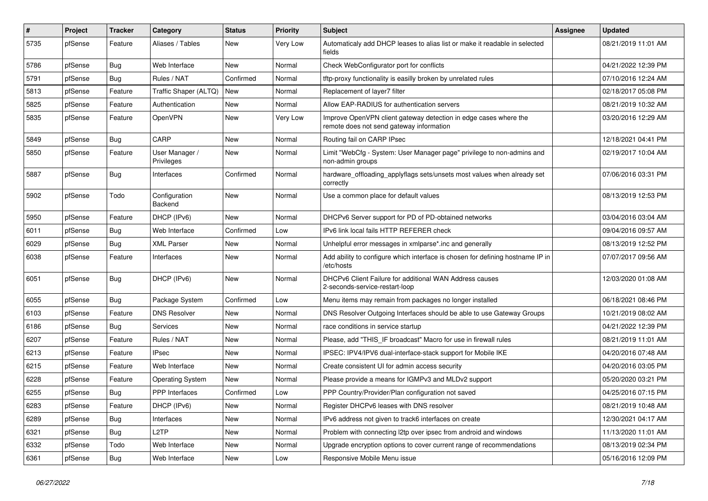| $\sharp$ | Project | <b>Tracker</b> | Category                     | <b>Status</b> | <b>Priority</b> | Subject                                                                                                      | <b>Assignee</b> | <b>Updated</b>      |
|----------|---------|----------------|------------------------------|---------------|-----------------|--------------------------------------------------------------------------------------------------------------|-----------------|---------------------|
| 5735     | pfSense | Feature        | Aliases / Tables             | New           | <b>Very Low</b> | Automaticaly add DHCP leases to alias list or make it readable in selected<br>fields                         |                 | 08/21/2019 11:01 AM |
| 5786     | pfSense | <b>Bug</b>     | Web Interface                | New           | Normal          | Check WebConfigurator port for conflicts                                                                     |                 | 04/21/2022 12:39 PM |
| 5791     | pfSense | <b>Bug</b>     | Rules / NAT                  | Confirmed     | Normal          | tftp-proxy functionality is easilly broken by unrelated rules                                                |                 | 07/10/2016 12:24 AM |
| 5813     | pfSense | Feature        | Traffic Shaper (ALTQ)        | <b>New</b>    | Normal          | Replacement of layer7 filter                                                                                 |                 | 02/18/2017 05:08 PM |
| 5825     | pfSense | Feature        | Authentication               | New           | Normal          | Allow EAP-RADIUS for authentication servers                                                                  |                 | 08/21/2019 10:32 AM |
| 5835     | pfSense | Feature        | <b>OpenVPN</b>               | New           | Very Low        | Improve OpenVPN client gateway detection in edge cases where the<br>remote does not send gateway information |                 | 03/20/2016 12:29 AM |
| 5849     | pfSense | Bug            | CARP                         | <b>New</b>    | Normal          | Routing fail on CARP IPsec                                                                                   |                 | 12/18/2021 04:41 PM |
| 5850     | pfSense | Feature        | User Manager /<br>Privileges | New           | Normal          | Limit "WebCfg - System: User Manager page" privilege to non-admins and<br>non-admin groups                   |                 | 02/19/2017 10:04 AM |
| 5887     | pfSense | <b>Bug</b>     | Interfaces                   | Confirmed     | Normal          | hardware_offloading_applyflags sets/unsets most values when already set<br>correctly                         |                 | 07/06/2016 03:31 PM |
| 5902     | pfSense | Todo           | Configuration<br>Backend     | New           | Normal          | Use a common place for default values                                                                        |                 | 08/13/2019 12:53 PM |
| 5950     | pfSense | Feature        | DHCP (IPv6)                  | <b>New</b>    | Normal          | DHCPv6 Server support for PD of PD-obtained networks                                                         |                 | 03/04/2016 03:04 AM |
| 6011     | pfSense | <b>Bug</b>     | Web Interface                | Confirmed     | Low             | IPv6 link local fails HTTP REFERER check                                                                     |                 | 09/04/2016 09:57 AM |
| 6029     | pfSense | <b>Bug</b>     | <b>XML Parser</b>            | New           | Normal          | Unhelpful error messages in xmlparse*.inc and generally                                                      |                 | 08/13/2019 12:52 PM |
| 6038     | pfSense | Feature        | Interfaces                   | New           | Normal          | Add ability to configure which interface is chosen for defining hostname IP in<br>/etc/hosts                 |                 | 07/07/2017 09:56 AM |
| 6051     | pfSense | <b>Bug</b>     | DHCP (IPv6)                  | New           | Normal          | DHCPv6 Client Failure for additional WAN Address causes<br>2-seconds-service-restart-loop                    |                 | 12/03/2020 01:08 AM |
| 6055     | pfSense | Bug            | Package System               | Confirmed     | Low             | Menu items may remain from packages no longer installed                                                      |                 | 06/18/2021 08:46 PM |
| 6103     | pfSense | Feature        | <b>DNS Resolver</b>          | New           | Normal          | DNS Resolver Outgoing Interfaces should be able to use Gateway Groups                                        |                 | 10/21/2019 08:02 AM |
| 6186     | pfSense | <b>Bug</b>     | <b>Services</b>              | New           | Normal          | race conditions in service startup                                                                           |                 | 04/21/2022 12:39 PM |
| 6207     | pfSense | Feature        | Rules / NAT                  | New           | Normal          | Please, add "THIS IF broadcast" Macro for use in firewall rules                                              |                 | 08/21/2019 11:01 AM |
| 6213     | pfSense | Feature        | <b>IPsec</b>                 | New           | Normal          | IPSEC: IPV4/IPV6 dual-interface-stack support for Mobile IKE                                                 |                 | 04/20/2016 07:48 AM |
| 6215     | pfSense | Feature        | Web Interface                | New           | Normal          | Create consistent UI for admin access security                                                               |                 | 04/20/2016 03:05 PM |
| 6228     | pfSense | Feature        | <b>Operating System</b>      | New           | Normal          | Please provide a means for IGMPv3 and MLDv2 support                                                          |                 | 05/20/2020 03:21 PM |
| 6255     | pfSense | <b>Bug</b>     | <b>PPP</b> Interfaces        | Confirmed     | Low             | PPP Country/Provider/Plan configuration not saved                                                            |                 | 04/25/2016 07:15 PM |
| 6283     | pfSense | Feature        | DHCP (IPv6)                  | New           | Normal          | Register DHCPv6 leases with DNS resolver                                                                     |                 | 08/21/2019 10:48 AM |
| 6289     | pfSense | Bug            | Interfaces                   | New           | Normal          | IPv6 address not given to track6 interfaces on create                                                        |                 | 12/30/2021 04:17 AM |
| 6321     | pfSense | <b>Bug</b>     | L <sub>2</sub> TP            | New           | Normal          | Problem with connecting I2tp over ipsec from android and windows                                             |                 | 11/13/2020 11:01 AM |
| 6332     | pfSense | Todo           | Web Interface                | New           | Normal          | Upgrade encryption options to cover current range of recommendations                                         |                 | 08/13/2019 02:34 PM |
| 6361     | pfSense | <b>Bug</b>     | Web Interface                | New           | Low             | Responsive Mobile Menu issue                                                                                 |                 | 05/16/2016 12:09 PM |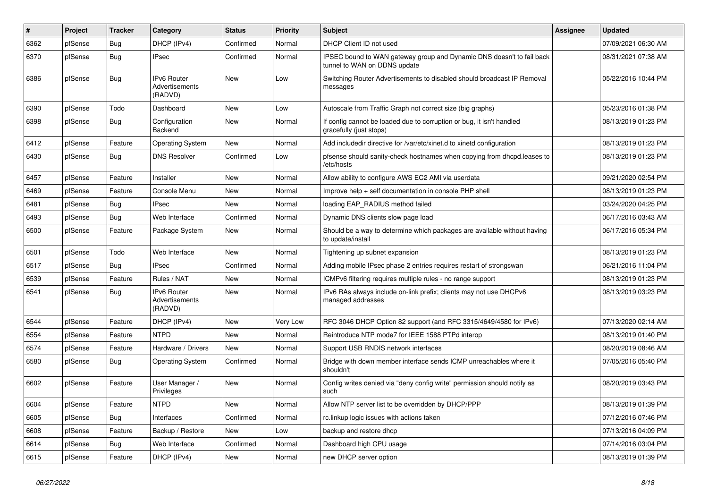| $\vert$ # | Project | <b>Tracker</b> | Category                                        | <b>Status</b> | <b>Priority</b> | Subject                                                                                               | <b>Assignee</b> | <b>Updated</b>      |
|-----------|---------|----------------|-------------------------------------------------|---------------|-----------------|-------------------------------------------------------------------------------------------------------|-----------------|---------------------|
| 6362      | pfSense | <b>Bug</b>     | DHCP (IPv4)                                     | Confirmed     | Normal          | DHCP Client ID not used                                                                               |                 | 07/09/2021 06:30 AM |
| 6370      | pfSense | <b>Bug</b>     | <b>IPsec</b>                                    | Confirmed     | Normal          | IPSEC bound to WAN gateway group and Dynamic DNS doesn't to fail back<br>tunnel to WAN on DDNS update |                 | 08/31/2021 07:38 AM |
| 6386      | pfSense | <b>Bug</b>     | <b>IPv6 Router</b><br>Advertisements<br>(RADVD) | <b>New</b>    | Low             | Switching Router Advertisements to disabled should broadcast IP Removal<br>messages                   |                 | 05/22/2016 10:44 PM |
| 6390      | pfSense | Todo           | Dashboard                                       | New           | Low             | Autoscale from Traffic Graph not correct size (big graphs)                                            |                 | 05/23/2016 01:38 PM |
| 6398      | pfSense | <b>Bug</b>     | Configuration<br><b>Backend</b>                 | New           | Normal          | If config cannot be loaded due to corruption or bug, it isn't handled<br>gracefully (just stops)      |                 | 08/13/2019 01:23 PM |
| 6412      | pfSense | Feature        | <b>Operating System</b>                         | New           | Normal          | Add includedir directive for /var/etc/xinet.d to xinetd configuration                                 |                 | 08/13/2019 01:23 PM |
| 6430      | pfSense | <b>Bug</b>     | <b>DNS Resolver</b>                             | Confirmed     | Low             | pfsense should sanity-check hostnames when copying from dhcpd.leases to<br>/etc/hosts                 |                 | 08/13/2019 01:23 PM |
| 6457      | pfSense | Feature        | Installer                                       | <b>New</b>    | Normal          | Allow ability to configure AWS EC2 AMI via userdata                                                   |                 | 09/21/2020 02:54 PM |
| 6469      | pfSense | Feature        | Console Menu                                    | New           | Normal          | Improve help + self documentation in console PHP shell                                                |                 | 08/13/2019 01:23 PM |
| 6481      | pfSense | Bug            | <b>IPsec</b>                                    | New           | Normal          | loading EAP_RADIUS method failed                                                                      |                 | 03/24/2020 04:25 PM |
| 6493      | pfSense | <b>Bug</b>     | Web Interface                                   | Confirmed     | Normal          | Dynamic DNS clients slow page load                                                                    |                 | 06/17/2016 03:43 AM |
| 6500      | pfSense | Feature        | Package System                                  | New           | Normal          | Should be a way to determine which packages are available without having<br>to update/install         |                 | 06/17/2016 05:34 PM |
| 6501      | pfSense | Todo           | Web Interface                                   | New           | Normal          | Tightening up subnet expansion                                                                        |                 | 08/13/2019 01:23 PM |
| 6517      | pfSense | <b>Bug</b>     | <b>IPsec</b>                                    | Confirmed     | Normal          | Adding mobile IPsec phase 2 entries requires restart of strongswan                                    |                 | 06/21/2016 11:04 PM |
| 6539      | pfSense | Feature        | Rules / NAT                                     | New           | Normal          | ICMPv6 filtering requires multiple rules - no range support                                           |                 | 08/13/2019 01:23 PM |
| 6541      | pfSense | <b>Bug</b>     | <b>IPv6 Router</b><br>Advertisements<br>(RADVD) | New           | Normal          | IPv6 RAs always include on-link prefix; clients may not use DHCPv6<br>managed addresses               |                 | 08/13/2019 03:23 PM |
| 6544      | pfSense | Feature        | DHCP (IPv4)                                     | New           | <b>Very Low</b> | RFC 3046 DHCP Option 82 support (and RFC 3315/4649/4580 for IPv6)                                     |                 | 07/13/2020 02:14 AM |
| 6554      | pfSense | Feature        | <b>NTPD</b>                                     | New           | Normal          | Reintroduce NTP mode7 for IEEE 1588 PTPd interop                                                      |                 | 08/13/2019 01:40 PM |
| 6574      | pfSense | Feature        | Hardware / Drivers                              | <b>New</b>    | Normal          | Support USB RNDIS network interfaces                                                                  |                 | 08/20/2019 08:46 AM |
| 6580      | pfSense | <b>Bug</b>     | <b>Operating System</b>                         | Confirmed     | Normal          | Bridge with down member interface sends ICMP unreachables where it<br>shouldn't                       |                 | 07/05/2016 05:40 PM |
| 6602      | pfSense | Feature        | User Manager /<br>Privileges                    | New           | Normal          | Config writes denied via "deny config write" permission should notify as<br>such                      |                 | 08/20/2019 03:43 PM |
| 6604      | pfSense | Feature        | <b>NTPD</b>                                     | New           | Normal          | Allow NTP server list to be overridden by DHCP/PPP                                                    |                 | 08/13/2019 01:39 PM |
| 6605      | pfSense | Bug            | Interfaces                                      | Confirmed     | Normal          | rc.linkup logic issues with actions taken                                                             |                 | 07/12/2016 07:46 PM |
| 6608      | pfSense | Feature        | Backup / Restore                                | New           | Low             | backup and restore dhcp                                                                               |                 | 07/13/2016 04:09 PM |
| 6614      | pfSense | <b>Bug</b>     | Web Interface                                   | Confirmed     | Normal          | Dashboard high CPU usage                                                                              |                 | 07/14/2016 03:04 PM |
| 6615      | pfSense | Feature        | DHCP (IPv4)                                     | New           | Normal          | new DHCP server option                                                                                |                 | 08/13/2019 01:39 PM |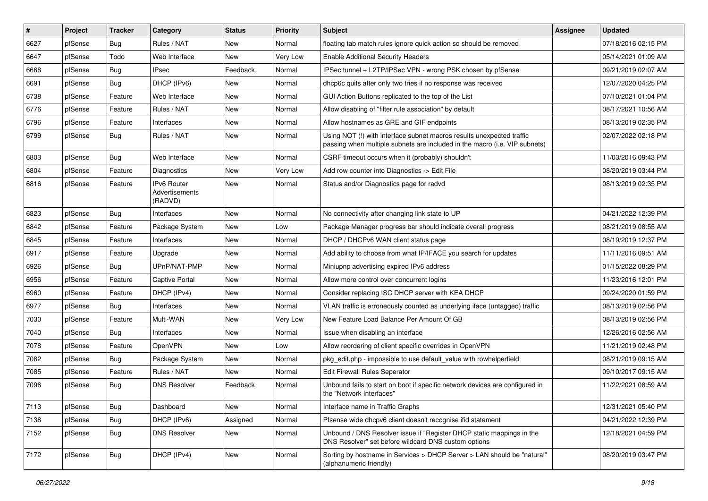| $\vert$ # | Project | <b>Tracker</b> | Category                                        | <b>Status</b> | <b>Priority</b> | <b>Subject</b>                                                                                                                                      | <b>Assignee</b> | <b>Updated</b>      |
|-----------|---------|----------------|-------------------------------------------------|---------------|-----------------|-----------------------------------------------------------------------------------------------------------------------------------------------------|-----------------|---------------------|
| 6627      | pfSense | Bug            | Rules / NAT                                     | New           | Normal          | floating tab match rules ignore quick action so should be removed                                                                                   |                 | 07/18/2016 02:15 PM |
| 6647      | pfSense | Todo           | Web Interface                                   | New           | Very Low        | <b>Enable Additional Security Headers</b>                                                                                                           |                 | 05/14/2021 01:09 AM |
| 6668      | pfSense | Bug            | <b>IPsec</b>                                    | Feedback      | Normal          | IPSec tunnel + L2TP/IPSec VPN - wrong PSK chosen by pfSense                                                                                         |                 | 09/21/2019 02:07 AM |
| 6691      | pfSense | Bug            | DHCP (IPv6)                                     | New           | Normal          | dhcp6c quits after only two tries if no response was received                                                                                       |                 | 12/07/2020 04:25 PM |
| 6738      | pfSense | Feature        | Web Interface                                   | New           | Normal          | GUI Action Buttons replicated to the top of the List                                                                                                |                 | 07/10/2021 01:04 PM |
| 6776      | pfSense | Feature        | Rules / NAT                                     | New           | Normal          | Allow disabling of "filter rule association" by default                                                                                             |                 | 08/17/2021 10:56 AM |
| 6796      | pfSense | Feature        | Interfaces                                      | New           | Normal          | Allow hostnames as GRE and GIF endpoints                                                                                                            |                 | 08/13/2019 02:35 PM |
| 6799      | pfSense | Bug            | Rules / NAT                                     | New           | Normal          | Using NOT (!) with interface subnet macros results unexpected traffic<br>passing when multiple subnets are included in the macro (i.e. VIP subnets) |                 | 02/07/2022 02:18 PM |
| 6803      | pfSense | <b>Bug</b>     | Web Interface                                   | New           | Normal          | CSRF timeout occurs when it (probably) shouldn't                                                                                                    |                 | 11/03/2016 09:43 PM |
| 6804      | pfSense | Feature        | <b>Diagnostics</b>                              | New           | Very Low        | Add row counter into Diagnostics -> Edit File                                                                                                       |                 | 08/20/2019 03:44 PM |
| 6816      | pfSense | Feature        | <b>IPv6 Router</b><br>Advertisements<br>(RADVD) | New           | Normal          | Status and/or Diagnostics page for radvd                                                                                                            |                 | 08/13/2019 02:35 PM |
| 6823      | pfSense | <b>Bug</b>     | Interfaces                                      | <b>New</b>    | Normal          | No connectivity after changing link state to UP                                                                                                     |                 | 04/21/2022 12:39 PM |
| 6842      | pfSense | Feature        | Package System                                  | New           | Low             | Package Manager progress bar should indicate overall progress                                                                                       |                 | 08/21/2019 08:55 AM |
| 6845      | pfSense | Feature        | Interfaces                                      | New           | Normal          | DHCP / DHCPv6 WAN client status page                                                                                                                |                 | 08/19/2019 12:37 PM |
| 6917      | pfSense | Feature        | Upgrade                                         | New           | Normal          | Add ability to choose from what IP/IFACE you search for updates                                                                                     |                 | 11/11/2016 09:51 AM |
| 6926      | pfSense | Bug            | UPnP/NAT-PMP                                    | New           | Normal          | Miniupnp advertising expired IPv6 address                                                                                                           |                 | 01/15/2022 08:29 PM |
| 6956      | pfSense | Feature        | <b>Captive Portal</b>                           | New           | Normal          | Allow more control over concurrent logins                                                                                                           |                 | 11/23/2016 12:01 PM |
| 6960      | pfSense | Feature        | DHCP (IPv4)                                     | New           | Normal          | Consider replacing ISC DHCP server with KEA DHCP                                                                                                    |                 | 09/24/2020 01:59 PM |
| 6977      | pfSense | Bug            | Interfaces                                      | New           | Normal          | VLAN traffic is erroneously counted as underlying iface (untagged) traffic                                                                          |                 | 08/13/2019 02:56 PM |
| 7030      | pfSense | Feature        | Multi-WAN                                       | New           | Very Low        | New Feature Load Balance Per Amount Of GB                                                                                                           |                 | 08/13/2019 02:56 PM |
| 7040      | pfSense | <b>Bug</b>     | Interfaces                                      | New           | Normal          | Issue when disabling an interface                                                                                                                   |                 | 12/26/2016 02:56 AM |
| 7078      | pfSense | Feature        | OpenVPN                                         | New           | Low             | Allow reordering of client specific overrides in OpenVPN                                                                                            |                 | 11/21/2019 02:48 PM |
| 7082      | pfSense | <b>Bug</b>     | Package System                                  | New           | Normal          | pkg_edit.php - impossible to use default_value with rowhelperfield                                                                                  |                 | 08/21/2019 09:15 AM |
| 7085      | pfSense | Feature        | Rules / NAT                                     | New           | Normal          | <b>Edit Firewall Rules Seperator</b>                                                                                                                |                 | 09/10/2017 09:15 AM |
| 7096      | pfSense | <b>Bug</b>     | <b>DNS Resolver</b>                             | Feedback      | Normal          | Unbound fails to start on boot if specific network devices are configured in<br>the "Network Interfaces"                                            |                 | 11/22/2021 08:59 AM |
| 7113      | pfSense | <b>Bug</b>     | Dashboard                                       | New           | Normal          | Interface name in Traffic Graphs                                                                                                                    |                 | 12/31/2021 05:40 PM |
| 7138      | pfSense | <b>Bug</b>     | DHCP (IPv6)                                     | Assigned      | Normal          | Pfsense wide dhcpv6 client doesn't recognise ifid statement                                                                                         |                 | 04/21/2022 12:39 PM |
| 7152      | pfSense | <b>Bug</b>     | <b>DNS Resolver</b>                             | New           | Normal          | Unbound / DNS Resolver issue if "Register DHCP static mappings in the<br>DNS Resolver" set before wildcard DNS custom options                       |                 | 12/18/2021 04:59 PM |
| 7172      | pfSense | <b>Bug</b>     | DHCP (IPv4)                                     | New           | Normal          | Sorting by hostname in Services > DHCP Server > LAN should be "natural"<br>(alphanumeric friendly)                                                  |                 | 08/20/2019 03:47 PM |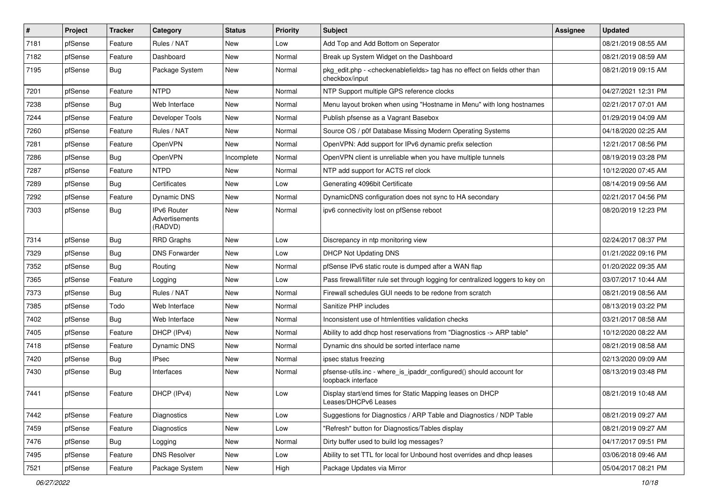| $\sharp$ | Project | <b>Tracker</b> | Category                                 | <b>Status</b> | <b>Priority</b> | Subject                                                                                                          | <b>Assignee</b> | <b>Updated</b>      |
|----------|---------|----------------|------------------------------------------|---------------|-----------------|------------------------------------------------------------------------------------------------------------------|-----------------|---------------------|
| 7181     | pfSense | Feature        | Rules / NAT                              | New           | Low             | Add Top and Add Bottom on Seperator                                                                              |                 | 08/21/2019 08:55 AM |
| 7182     | pfSense | Feature        | Dashboard                                | New           | Normal          | Break up System Widget on the Dashboard                                                                          |                 | 08/21/2019 08:59 AM |
| 7195     | pfSense | <b>Bug</b>     | Package System                           | New           | Normal          | pkg_edit.php - <checkenablefields> tag has no effect on fields other than<br/>checkbox/input</checkenablefields> |                 | 08/21/2019 09:15 AM |
| 7201     | pfSense | Feature        | <b>NTPD</b>                              | <b>New</b>    | Normal          | NTP Support multiple GPS reference clocks                                                                        |                 | 04/27/2021 12:31 PM |
| 7238     | pfSense | <b>Bug</b>     | Web Interface                            | New           | Normal          | Menu layout broken when using "Hostname in Menu" with long hostnames                                             |                 | 02/21/2017 07:01 AM |
| 7244     | pfSense | Feature        | Developer Tools                          | New           | Normal          | Publish pfsense as a Vagrant Basebox                                                                             |                 | 01/29/2019 04:09 AM |
| 7260     | pfSense | Feature        | Rules / NAT                              | New           | Normal          | Source OS / p0f Database Missing Modern Operating Systems                                                        |                 | 04/18/2020 02:25 AM |
| 7281     | pfSense | Feature        | <b>OpenVPN</b>                           | New           | Normal          | OpenVPN: Add support for IPv6 dynamic prefix selection                                                           |                 | 12/21/2017 08:56 PM |
| 7286     | pfSense | <b>Bug</b>     | OpenVPN                                  | Incomplete    | Normal          | OpenVPN client is unreliable when you have multiple tunnels                                                      |                 | 08/19/2019 03:28 PM |
| 7287     | pfSense | Feature        | <b>NTPD</b>                              | New           | Normal          | NTP add support for ACTS ref clock                                                                               |                 | 10/12/2020 07:45 AM |
| 7289     | pfSense | <b>Bug</b>     | Certificates                             | New           | Low             | Generating 4096bit Certificate                                                                                   |                 | 08/14/2019 09:56 AM |
| 7292     | pfSense | Feature        | <b>Dynamic DNS</b>                       | New           | Normal          | DynamicDNS configuration does not sync to HA secondary                                                           |                 | 02/21/2017 04:56 PM |
| 7303     | pfSense | <b>Bug</b>     | IPv6 Router<br>Advertisements<br>(RADVD) | New           | Normal          | ipv6 connectivity lost on pfSense reboot                                                                         |                 | 08/20/2019 12:23 PM |
| 7314     | pfSense | <b>Bug</b>     | <b>RRD Graphs</b>                        | <b>New</b>    | Low             | Discrepancy in ntp monitoring view                                                                               |                 | 02/24/2017 08:37 PM |
| 7329     | pfSense | <b>Bug</b>     | <b>DNS Forwarder</b>                     | <b>New</b>    | Low             | <b>DHCP Not Updating DNS</b>                                                                                     |                 | 01/21/2022 09:16 PM |
| 7352     | pfSense | <b>Bug</b>     | Routing                                  | New           | Normal          | pfSense IPv6 static route is dumped after a WAN flap                                                             |                 | 01/20/2022 09:35 AM |
| 7365     | pfSense | Feature        | Logging                                  | New           | Low             | Pass firewall/filter rule set through logging for centralized loggers to key on                                  |                 | 03/07/2017 10:44 AM |
| 7373     | pfSense | <b>Bug</b>     | Rules / NAT                              | <b>New</b>    | Normal          | Firewall schedules GUI needs to be redone from scratch                                                           |                 | 08/21/2019 08:56 AM |
| 7385     | pfSense | Todo           | Web Interface                            | New           | Normal          | Sanitize PHP includes                                                                                            |                 | 08/13/2019 03:22 PM |
| 7402     | pfSense | <b>Bug</b>     | Web Interface                            | New           | Normal          | Inconsistent use of htmlentities validation checks                                                               |                 | 03/21/2017 08:58 AM |
| 7405     | pfSense | Feature        | DHCP (IPv4)                              | New           | Normal          | Ability to add dhcp host reservations from "Diagnostics -> ARP table"                                            |                 | 10/12/2020 08:22 AM |
| 7418     | pfSense | Feature        | Dynamic DNS                              | New           | Normal          | Dynamic dns should be sorted interface name                                                                      |                 | 08/21/2019 08:58 AM |
| 7420     | pfSense | <b>Bug</b>     | <b>IPsec</b>                             | <b>New</b>    | Normal          | ipsec status freezing                                                                                            |                 | 02/13/2020 09:09 AM |
| 7430     | pfSense | <b>Bug</b>     | Interfaces                               | New           | Normal          | pfsense-utils.inc - where_is_ipaddr_configured() should account for<br>loopback interface                        |                 | 08/13/2019 03:48 PM |
| 7441     | pfSense | Feature        | DHCP (IPv4)                              | New           | Low             | Display start/end times for Static Mapping leases on DHCP<br>Leases/DHCPv6 Leases                                |                 | 08/21/2019 10:48 AM |
| 7442     | pfSense | Feature        | Diagnostics                              | <b>New</b>    | Low             | Suggestions for Diagnostics / ARP Table and Diagnostics / NDP Table                                              |                 | 08/21/2019 09:27 AM |
| 7459     | pfSense | Feature        | Diagnostics                              | New           | Low             | "Refresh" button for Diagnostics/Tables display                                                                  |                 | 08/21/2019 09:27 AM |
| 7476     | pfSense | Bug            | Logging                                  | New           | Normal          | Dirty buffer used to build log messages?                                                                         |                 | 04/17/2017 09:51 PM |
| 7495     | pfSense | Feature        | <b>DNS Resolver</b>                      | New           | Low             | Ability to set TTL for local for Unbound host overrides and dhcp leases                                          |                 | 03/06/2018 09:46 AM |
| 7521     | pfSense | Feature        | Package System                           | New           | High            | Package Updates via Mirror                                                                                       |                 | 05/04/2017 08:21 PM |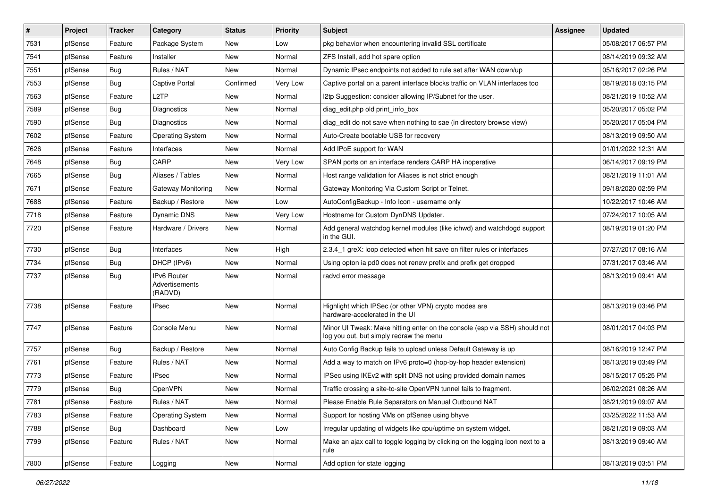| $\vert$ # | Project | <b>Tracker</b> | Category                                        | <b>Status</b> | <b>Priority</b> | Subject                                                                                                               | <b>Assignee</b> | <b>Updated</b>      |
|-----------|---------|----------------|-------------------------------------------------|---------------|-----------------|-----------------------------------------------------------------------------------------------------------------------|-----------------|---------------------|
| 7531      | pfSense | Feature        | Package System                                  | New           | Low             | pkg behavior when encountering invalid SSL certificate                                                                |                 | 05/08/2017 06:57 PM |
| 7541      | pfSense | Feature        | Installer                                       | New           | Normal          | ZFS Install, add hot spare option                                                                                     |                 | 08/14/2019 09:32 AM |
| 7551      | pfSense | <b>Bug</b>     | Rules / NAT                                     | New           | Normal          | Dynamic IPsec endpoints not added to rule set after WAN down/up                                                       |                 | 05/16/2017 02:26 PM |
| 7553      | pfSense | <b>Bug</b>     | <b>Captive Portal</b>                           | Confirmed     | Very Low        | Captive portal on a parent interface blocks traffic on VLAN interfaces too                                            |                 | 08/19/2018 03:15 PM |
| 7563      | pfSense | Feature        | L <sub>2</sub> TP                               | New           | Normal          | I2tp Suggestion: consider allowing IP/Subnet for the user.                                                            |                 | 08/21/2019 10:52 AM |
| 7589      | pfSense | <b>Bug</b>     | <b>Diagnostics</b>                              | New           | Normal          | diag edit.php old print info box                                                                                      |                 | 05/20/2017 05:02 PM |
| 7590      | pfSense | <b>Bug</b>     | Diagnostics                                     | New           | Normal          | diag edit do not save when nothing to sae (in directory browse view)                                                  |                 | 05/20/2017 05:04 PM |
| 7602      | pfSense | Feature        | <b>Operating System</b>                         | New           | Normal          | Auto-Create bootable USB for recovery                                                                                 |                 | 08/13/2019 09:50 AM |
| 7626      | pfSense | Feature        | Interfaces                                      | New           | Normal          | Add IPoE support for WAN                                                                                              |                 | 01/01/2022 12:31 AM |
| 7648      | pfSense | <b>Bug</b>     | CARP                                            | <b>New</b>    | <b>Very Low</b> | SPAN ports on an interface renders CARP HA inoperative                                                                |                 | 06/14/2017 09:19 PM |
| 7665      | pfSense | <b>Bug</b>     | Aliases / Tables                                | New           | Normal          | Host range validation for Aliases is not strict enough                                                                |                 | 08/21/2019 11:01 AM |
| 7671      | pfSense | Feature        | Gateway Monitoring                              | New           | Normal          | Gateway Monitoring Via Custom Script or Telnet.                                                                       |                 | 09/18/2020 02:59 PM |
| 7688      | pfSense | Feature        | Backup / Restore                                | <b>New</b>    | Low             | AutoConfigBackup - Info Icon - username only                                                                          |                 | 10/22/2017 10:46 AM |
| 7718      | pfSense | Feature        | Dynamic DNS                                     | New           | Very Low        | Hostname for Custom DynDNS Updater.                                                                                   |                 | 07/24/2017 10:05 AM |
| 7720      | pfSense | Feature        | Hardware / Drivers                              | New           | Normal          | Add general watchdog kernel modules (like ichwd) and watchdogd support<br>in the GUI.                                 |                 | 08/19/2019 01:20 PM |
| 7730      | pfSense | <b>Bug</b>     | Interfaces                                      | New           | High            | 2.3.4 1 greX: loop detected when hit save on filter rules or interfaces                                               |                 | 07/27/2017 08:16 AM |
| 7734      | pfSense | <b>Bug</b>     | DHCP (IPv6)                                     | <b>New</b>    | Normal          | Using opton ia pd0 does not renew prefix and prefix get dropped                                                       |                 | 07/31/2017 03:46 AM |
| 7737      | pfSense | <b>Bug</b>     | <b>IPv6 Router</b><br>Advertisements<br>(RADVD) | New           | Normal          | radvd error message                                                                                                   |                 | 08/13/2019 09:41 AM |
| 7738      | pfSense | Feature        | <b>IPsec</b>                                    | New           | Normal          | Highlight which IPSec (or other VPN) crypto modes are<br>hardware-accelerated in the UI                               |                 | 08/13/2019 03:46 PM |
| 7747      | pfSense | Feature        | Console Menu                                    | <b>New</b>    | Normal          | Minor UI Tweak: Make hitting enter on the console (esp via SSH) should not<br>log you out, but simply redraw the menu |                 | 08/01/2017 04:03 PM |
| 7757      | pfSense | <b>Bug</b>     | Backup / Restore                                | New           | Normal          | Auto Config Backup fails to upload unless Default Gateway is up                                                       |                 | 08/16/2019 12:47 PM |
| 7761      | pfSense | Feature        | Rules / NAT                                     | New           | Normal          | Add a way to match on IPv6 proto=0 (hop-by-hop header extension)                                                      |                 | 08/13/2019 03:49 PM |
| 7773      | pfSense | Feature        | <b>IPsec</b>                                    | New           | Normal          | IPSec using IKEv2 with split DNS not using provided domain names                                                      |                 | 08/15/2017 05:25 PM |
| 7779      | pfSense | <b>Bug</b>     | OpenVPN                                         | New           | Normal          | Traffic crossing a site-to-site OpenVPN tunnel fails to fragment.                                                     |                 | 06/02/2021 08:26 AM |
| 7781      | pfSense | Feature        | Rules / NAT                                     | New           | Normal          | Please Enable Rule Separators on Manual Outbound NAT                                                                  |                 | 08/21/2019 09:07 AM |
| 7783      | pfSense | Feature        | <b>Operating System</b>                         | New           | Normal          | Support for hosting VMs on pfSense using bhyve                                                                        |                 | 03/25/2022 11:53 AM |
| 7788      | pfSense | Bug            | Dashboard                                       | New           | Low             | Irregular updating of widgets like cpu/uptime on system widget.                                                       |                 | 08/21/2019 09:03 AM |
| 7799      | pfSense | Feature        | Rules / NAT                                     | New           | Normal          | Make an ajax call to toggle logging by clicking on the logging icon next to a<br>rule                                 |                 | 08/13/2019 09:40 AM |
| 7800      | pfSense | Feature        | Logging                                         | New           | Normal          | Add option for state logging                                                                                          |                 | 08/13/2019 03:51 PM |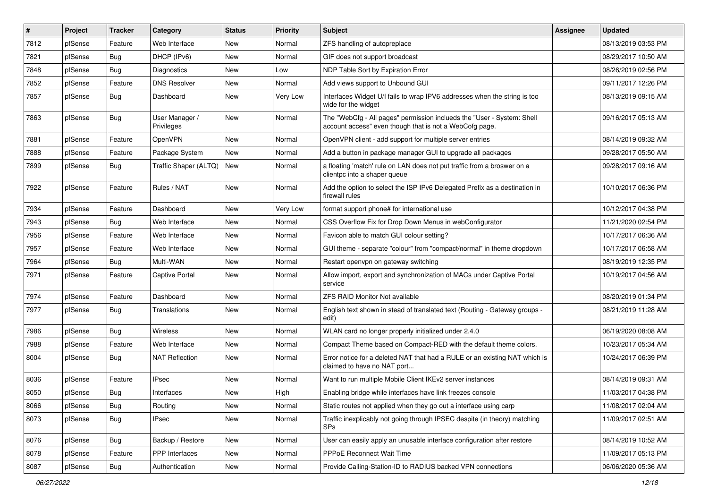| $\vert$ # | Project | <b>Tracker</b> | Category                     | <b>Status</b> | <b>Priority</b> | Subject                                                                                                                           | <b>Assignee</b> | <b>Updated</b>      |
|-----------|---------|----------------|------------------------------|---------------|-----------------|-----------------------------------------------------------------------------------------------------------------------------------|-----------------|---------------------|
| 7812      | pfSense | Feature        | Web Interface                | New           | Normal          | ZFS handling of autopreplace                                                                                                      |                 | 08/13/2019 03:53 PM |
| 7821      | pfSense | <b>Bug</b>     | DHCP (IPv6)                  | New           | Normal          | GIF does not support broadcast                                                                                                    |                 | 08/29/2017 10:50 AM |
| 7848      | pfSense | <b>Bug</b>     | <b>Diagnostics</b>           | New           | Low             | NDP Table Sort by Expiration Error                                                                                                |                 | 08/26/2019 02:56 PM |
| 7852      | pfSense | Feature        | <b>DNS Resolver</b>          | New           | Normal          | Add views support to Unbound GUI                                                                                                  |                 | 09/11/2017 12:26 PM |
| 7857      | pfSense | <b>Bug</b>     | Dashboard                    | New           | <b>Very Low</b> | Interfaces Widget U/I fails to wrap IPV6 addresses when the string is too<br>wide for the widget                                  |                 | 08/13/2019 09:15 AM |
| 7863      | pfSense | <b>Bug</b>     | User Manager /<br>Privileges | New           | Normal          | The "WebCfg - All pages" permission inclueds the "User - System: Shell<br>account access" even though that is not a WebCofg page. |                 | 09/16/2017 05:13 AM |
| 7881      | pfSense | Feature        | OpenVPN                      | New           | Normal          | OpenVPN client - add support for multiple server entries                                                                          |                 | 08/14/2019 09:32 AM |
| 7888      | pfSense | Feature        | Package System               | New           | Normal          | Add a button in package manager GUI to upgrade all packages                                                                       |                 | 09/28/2017 05:50 AM |
| 7899      | pfSense | Bug            | Traffic Shaper (ALTQ)        | <b>New</b>    | Normal          | a floating 'match' rule on LAN does not put traffic from a broswer on a<br>clientpc into a shaper queue                           |                 | 09/28/2017 09:16 AM |
| 7922      | pfSense | Feature        | Rules / NAT                  | New           | Normal          | Add the option to select the ISP IPv6 Delegated Prefix as a destination in<br>firewall rules                                      |                 | 10/10/2017 06:36 PM |
| 7934      | pfSense | Feature        | Dashboard                    | <b>New</b>    | Very Low        | format support phone# for international use                                                                                       |                 | 10/12/2017 04:38 PM |
| 7943      | pfSense | Bug            | Web Interface                | New           | Normal          | CSS Overflow Fix for Drop Down Menus in webConfigurator                                                                           |                 | 11/21/2020 02:54 PM |
| 7956      | pfSense | Feature        | Web Interface                | New           | Normal          | Favicon able to match GUI colour setting?                                                                                         |                 | 10/17/2017 06:36 AM |
| 7957      | pfSense | Feature        | Web Interface                | New           | Normal          | GUI theme - separate "colour" from "compact/normal" in theme dropdown                                                             |                 | 10/17/2017 06:58 AM |
| 7964      | pfSense | Bug            | Multi-WAN                    | New           | Normal          | Restart openypn on gateway switching                                                                                              |                 | 08/19/2019 12:35 PM |
| 7971      | pfSense | Feature        | <b>Captive Portal</b>        | New           | Normal          | Allow import, export and synchronization of MACs under Captive Portal<br>service                                                  |                 | 10/19/2017 04:56 AM |
| 7974      | pfSense | Feature        | Dashboard                    | New           | Normal          | <b>ZFS RAID Monitor Not available</b>                                                                                             |                 | 08/20/2019 01:34 PM |
| 7977      | pfSense | Bug            | Translations                 | New           | Normal          | English text shown in stead of translated text (Routing - Gateway groups -<br>edit)                                               |                 | 08/21/2019 11:28 AM |
| 7986      | pfSense | <b>Bug</b>     | Wireless                     | New           | Normal          | WLAN card no longer properly initialized under 2.4.0                                                                              |                 | 06/19/2020 08:08 AM |
| 7988      | pfSense | Feature        | Web Interface                | <b>New</b>    | Normal          | Compact Theme based on Compact-RED with the default theme colors.                                                                 |                 | 10/23/2017 05:34 AM |
| 8004      | pfSense | Bug            | <b>NAT Reflection</b>        | New           | Normal          | Error notice for a deleted NAT that had a RULE or an existing NAT which is<br>claimed to have no NAT port                         |                 | 10/24/2017 06:39 PM |
| 8036      | pfSense | Feature        | <b>IPsec</b>                 | New           | Normal          | Want to run multiple Mobile Client IKEv2 server instances                                                                         |                 | 08/14/2019 09:31 AM |
| 8050      | pfSense | <b>Bug</b>     | Interfaces                   | New           | High            | Enabling bridge while interfaces have link freezes console                                                                        |                 | 11/03/2017 04:38 PM |
| 8066      | pfSense | <b>Bug</b>     | Routing                      | New           | Normal          | Static routes not applied when they go out a interface using carp                                                                 |                 | 11/08/2017 02:04 AM |
| 8073      | pfSense | <b>Bug</b>     | <b>IPsec</b>                 | New           | Normal          | Traffic inexplicably not going through IPSEC despite (in theory) matching<br>SPs                                                  |                 | 11/09/2017 02:51 AM |
| 8076      | pfSense | Bug            | Backup / Restore             | New           | Normal          | User can easily apply an unusable interface configuration after restore                                                           |                 | 08/14/2019 10:52 AM |
| 8078      | pfSense | Feature        | PPP Interfaces               | New           | Normal          | PPPoE Reconnect Wait Time                                                                                                         |                 | 11/09/2017 05:13 PM |
| 8087      | pfSense | <b>Bug</b>     | Authentication               | New           | Normal          | Provide Calling-Station-ID to RADIUS backed VPN connections                                                                       |                 | 06/06/2020 05:36 AM |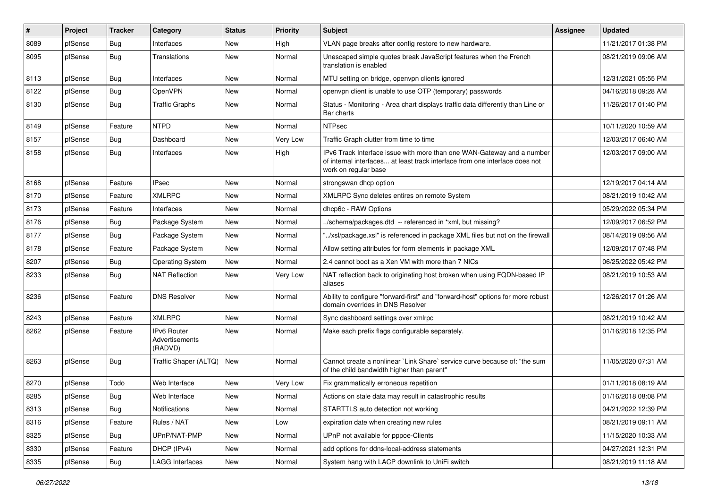| #    | Project | <b>Tracker</b> | Category                                 | <b>Status</b> | <b>Priority</b> | Subject                                                                                                                                                                       | <b>Assignee</b> | <b>Updated</b>      |
|------|---------|----------------|------------------------------------------|---------------|-----------------|-------------------------------------------------------------------------------------------------------------------------------------------------------------------------------|-----------------|---------------------|
| 8089 | pfSense | <b>Bug</b>     | Interfaces                               | New           | High            | VLAN page breaks after config restore to new hardware.                                                                                                                        |                 | 11/21/2017 01:38 PM |
| 8095 | pfSense | <b>Bug</b>     | Translations                             | New           | Normal          | Unescaped simple quotes break JavaScript features when the French<br>translation is enabled                                                                                   |                 | 08/21/2019 09:06 AM |
| 8113 | pfSense | Bug            | Interfaces                               | New           | Normal          | MTU setting on bridge, openvpn clients ignored                                                                                                                                |                 | 12/31/2021 05:55 PM |
| 8122 | pfSense | Bug            | OpenVPN                                  | New           | Normal          | openvpn client is unable to use OTP (temporary) passwords                                                                                                                     |                 | 04/16/2018 09:28 AM |
| 8130 | pfSense | <b>Bug</b>     | <b>Traffic Graphs</b>                    | New           | Normal          | Status - Monitoring - Area chart displays traffic data differently than Line or<br>Bar charts                                                                                 |                 | 11/26/2017 01:40 PM |
| 8149 | pfSense | Feature        | <b>NTPD</b>                              | <b>New</b>    | Normal          | <b>NTPsec</b>                                                                                                                                                                 |                 | 10/11/2020 10:59 AM |
| 8157 | pfSense | Bug            | Dashboard                                | New           | Very Low        | Traffic Graph clutter from time to time                                                                                                                                       |                 | 12/03/2017 06:40 AM |
| 8158 | pfSense | <b>Bug</b>     | Interfaces                               | New           | High            | IPv6 Track Interface issue with more than one WAN-Gateway and a number<br>of internal interfaces at least track interface from one interface does not<br>work on regular base |                 | 12/03/2017 09:00 AM |
| 8168 | pfSense | Feature        | <b>IPsec</b>                             | <b>New</b>    | Normal          | strongswan dhcp option                                                                                                                                                        |                 | 12/19/2017 04:14 AM |
| 8170 | pfSense | Feature        | <b>XMLRPC</b>                            | New           | Normal          | XMLRPC Sync deletes entires on remote System                                                                                                                                  |                 | 08/21/2019 10:42 AM |
| 8173 | pfSense | Feature        | Interfaces                               | New           | Normal          | dhcp6c - RAW Options                                                                                                                                                          |                 | 05/29/2022 05:34 PM |
| 8176 | pfSense | <b>Bug</b>     | Package System                           | New           | Normal          | ./schema/packages.dtd -- referenced in *xml, but missing?                                                                                                                     |                 | 12/09/2017 06:52 PM |
| 8177 | pfSense | Bug            | Package System                           | New           | Normal          | "/xsl/package.xsl" is referenced in package XML files but not on the firewall                                                                                                 |                 | 08/14/2019 09:56 AM |
| 8178 | pfSense | Feature        | Package System                           | New           | Normal          | Allow setting attributes for form elements in package XML                                                                                                                     |                 | 12/09/2017 07:48 PM |
| 8207 | pfSense | Bug            | <b>Operating System</b>                  | New           | Normal          | 2.4 cannot boot as a Xen VM with more than 7 NICs                                                                                                                             |                 | 06/25/2022 05:42 PM |
| 8233 | pfSense | <b>Bug</b>     | <b>NAT Reflection</b>                    | New           | Very Low        | NAT reflection back to originating host broken when using FQDN-based IP<br>aliases                                                                                            |                 | 08/21/2019 10:53 AM |
| 8236 | pfSense | Feature        | <b>DNS Resolver</b>                      | New           | Normal          | Ability to configure "forward-first" and "forward-host" options for more robust<br>domain overrides in DNS Resolver                                                           |                 | 12/26/2017 01:26 AM |
| 8243 | pfSense | Feature        | <b>XMLRPC</b>                            | <b>New</b>    | Normal          | Sync dashboard settings over xmlrpc                                                                                                                                           |                 | 08/21/2019 10:42 AM |
| 8262 | pfSense | Feature        | IPv6 Router<br>Advertisements<br>(RADVD) | New           | Normal          | Make each prefix flags configurable separately.                                                                                                                               |                 | 01/16/2018 12:35 PM |
| 8263 | pfSense | Bug            | Traffic Shaper (ALTQ)                    | <b>New</b>    | Normal          | Cannot create a nonlinear `Link Share` service curve because of: "the sum<br>of the child bandwidth higher than parent"                                                       |                 | 11/05/2020 07:31 AM |
| 8270 | pfSense | Todo           | Web Interface                            | New           | <b>Very Low</b> | Fix grammatically erroneous repetition                                                                                                                                        |                 | 01/11/2018 08:19 AM |
| 8285 | pfSense | <b>Bug</b>     | Web Interface                            | New           | Normal          | Actions on stale data may result in catastrophic results                                                                                                                      |                 | 01/16/2018 08:08 PM |
| 8313 | pfSense | <b>Bug</b>     | Notifications                            | New           | Normal          | STARTTLS auto detection not working                                                                                                                                           |                 | 04/21/2022 12:39 PM |
| 8316 | pfSense | Feature        | Rules / NAT                              | New           | Low             | expiration date when creating new rules                                                                                                                                       |                 | 08/21/2019 09:11 AM |
| 8325 | pfSense | <b>Bug</b>     | UPnP/NAT-PMP                             | New           | Normal          | UPnP not available for pppoe-Clients                                                                                                                                          |                 | 11/15/2020 10:33 AM |
| 8330 | pfSense | Feature        | DHCP (IPv4)                              | New           | Normal          | add options for ddns-local-address statements                                                                                                                                 |                 | 04/27/2021 12:31 PM |
| 8335 | pfSense | Bug            | <b>LAGG Interfaces</b>                   | New           | Normal          | System hang with LACP downlink to UniFi switch                                                                                                                                |                 | 08/21/2019 11:18 AM |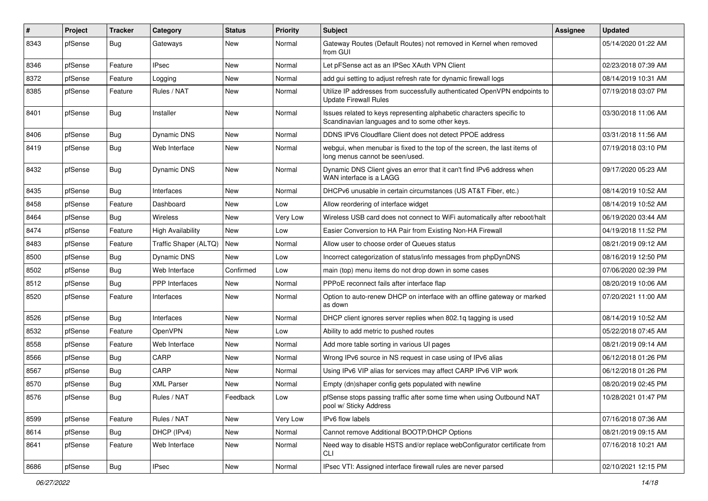| $\vert$ # | Project | <b>Tracker</b> | Category                 | <b>Status</b> | <b>Priority</b> | <b>Subject</b>                                                                                                          | <b>Assignee</b> | <b>Updated</b>      |
|-----------|---------|----------------|--------------------------|---------------|-----------------|-------------------------------------------------------------------------------------------------------------------------|-----------------|---------------------|
| 8343      | pfSense | <b>Bug</b>     | Gateways                 | New           | Normal          | Gateway Routes (Default Routes) not removed in Kernel when removed<br>from GUI                                          |                 | 05/14/2020 01:22 AM |
| 8346      | pfSense | Feature        | <b>IPsec</b>             | New           | Normal          | Let pFSense act as an IPSec XAuth VPN Client                                                                            |                 | 02/23/2018 07:39 AM |
| 8372      | pfSense | Feature        | Logging                  | New           | Normal          | add gui setting to adjust refresh rate for dynamic firewall logs                                                        |                 | 08/14/2019 10:31 AM |
| 8385      | pfSense | Feature        | Rules / NAT              | New           | Normal          | Utilize IP addresses from successfully authenticated OpenVPN endpoints to<br><b>Update Firewall Rules</b>               |                 | 07/19/2018 03:07 PM |
| 8401      | pfSense | <b>Bug</b>     | Installer                | New           | Normal          | Issues related to keys representing alphabetic characters specific to<br>Scandinavian languages and to some other keys. |                 | 03/30/2018 11:06 AM |
| 8406      | pfSense | <b>Bug</b>     | Dynamic DNS              | New           | Normal          | DDNS IPV6 Cloudflare Client does not detect PPOE address                                                                |                 | 03/31/2018 11:56 AM |
| 8419      | pfSense | <b>Bug</b>     | Web Interface            | New           | Normal          | webgui, when menubar is fixed to the top of the screen, the last items of<br>long menus cannot be seen/used.            |                 | 07/19/2018 03:10 PM |
| 8432      | pfSense | <b>Bug</b>     | Dynamic DNS              | New           | Normal          | Dynamic DNS Client gives an error that it can't find IPv6 address when<br>WAN interface is a LAGG                       |                 | 09/17/2020 05:23 AM |
| 8435      | pfSense | <b>Bug</b>     | Interfaces               | New           | Normal          | DHCPv6 unusable in certain circumstances (US AT&T Fiber, etc.)                                                          |                 | 08/14/2019 10:52 AM |
| 8458      | pfSense | Feature        | Dashboard                | New           | Low             | Allow reordering of interface widget                                                                                    |                 | 08/14/2019 10:52 AM |
| 8464      | pfSense | <b>Bug</b>     | <b>Wireless</b>          | New           | Very Low        | Wireless USB card does not connect to WiFi automatically after reboot/halt                                              |                 | 06/19/2020 03:44 AM |
| 8474      | pfSense | Feature        | <b>High Availability</b> | New           | Low             | Easier Conversion to HA Pair from Existing Non-HA Firewall                                                              |                 | 04/19/2018 11:52 PM |
| 8483      | pfSense | Feature        | Traffic Shaper (ALTQ)    | New           | Normal          | Allow user to choose order of Queues status                                                                             |                 | 08/21/2019 09:12 AM |
| 8500      | pfSense | Bug            | Dynamic DNS              | New           | Low             | Incorrect categorization of status/info messages from phpDynDNS                                                         |                 | 08/16/2019 12:50 PM |
| 8502      | pfSense | Bug            | Web Interface            | Confirmed     | Low             | main (top) menu items do not drop down in some cases                                                                    |                 | 07/06/2020 02:39 PM |
| 8512      | pfSense | Bug            | <b>PPP</b> Interfaces    | New           | Normal          | PPPoE reconnect fails after interface flap                                                                              |                 | 08/20/2019 10:06 AM |
| 8520      | pfSense | Feature        | Interfaces               | New           | Normal          | Option to auto-renew DHCP on interface with an offline gateway or marked<br>as down                                     |                 | 07/20/2021 11:00 AM |
| 8526      | pfSense | <b>Bug</b>     | Interfaces               | New           | Normal          | DHCP client ignores server replies when 802.1q tagging is used                                                          |                 | 08/14/2019 10:52 AM |
| 8532      | pfSense | Feature        | OpenVPN                  | New           | Low             | Ability to add metric to pushed routes                                                                                  |                 | 05/22/2018 07:45 AM |
| 8558      | pfSense | Feature        | Web Interface            | New           | Normal          | Add more table sorting in various UI pages                                                                              |                 | 08/21/2019 09:14 AM |
| 8566      | pfSense | <b>Bug</b>     | CARP                     | New           | Normal          | Wrong IPv6 source in NS request in case using of IPv6 alias                                                             |                 | 06/12/2018 01:26 PM |
| 8567      | pfSense | Bug            | CARP                     | New           | Normal          | Using IPv6 VIP alias for services may affect CARP IPv6 VIP work                                                         |                 | 06/12/2018 01:26 PM |
| 8570      | pfSense | <b>Bug</b>     | <b>XML Parser</b>        | New           | Normal          | Empty (dn)shaper config gets populated with newline                                                                     |                 | 08/20/2019 02:45 PM |
| 8576      | pfSense | i Bug          | Rules / NAT              | Feedback      | Low             | pfSense stops passing traffic after some time when using Outbound NAT<br>pool w/ Sticky Address                         |                 | 10/28/2021 01:47 PM |
| 8599      | pfSense | Feature        | Rules / NAT              | New           | Very Low        | IPv6 flow labels                                                                                                        |                 | 07/16/2018 07:36 AM |
| 8614      | pfSense | <b>Bug</b>     | DHCP (IPv4)              | New           | Normal          | Cannot remove Additional BOOTP/DHCP Options                                                                             |                 | 08/21/2019 09:15 AM |
| 8641      | pfSense | Feature        | Web Interface            | New           | Normal          | Need way to disable HSTS and/or replace webConfigurator certificate from<br><b>CLI</b>                                  |                 | 07/16/2018 10:21 AM |
| 8686      | pfSense | <b>Bug</b>     | IPsec                    | New           | Normal          | IPsec VTI: Assigned interface firewall rules are never parsed                                                           |                 | 02/10/2021 12:15 PM |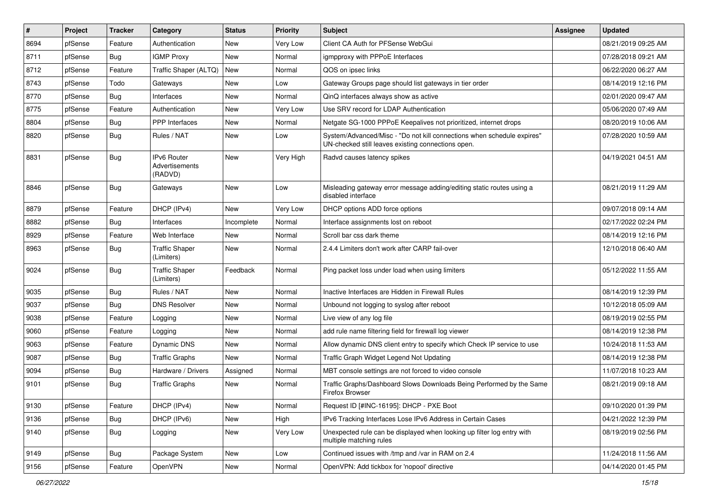| $\vert$ # | Project | <b>Tracker</b> | Category                                        | <b>Status</b> | <b>Priority</b> | Subject                                                                                                                      | <b>Assignee</b> | <b>Updated</b>      |
|-----------|---------|----------------|-------------------------------------------------|---------------|-----------------|------------------------------------------------------------------------------------------------------------------------------|-----------------|---------------------|
| 8694      | pfSense | Feature        | Authentication                                  | New           | Very Low        | Client CA Auth for PFSense WebGui                                                                                            |                 | 08/21/2019 09:25 AM |
| 8711      | pfSense | Bug            | <b>IGMP Proxy</b>                               | New           | Normal          | igmpproxy with PPPoE Interfaces                                                                                              |                 | 07/28/2018 09:21 AM |
| 8712      | pfSense | Feature        | Traffic Shaper (ALTQ)                           | New           | Normal          | QOS on ipsec links                                                                                                           |                 | 06/22/2020 06:27 AM |
| 8743      | pfSense | Todo           | Gateways                                        | New           | Low             | Gateway Groups page should list gateways in tier order                                                                       |                 | 08/14/2019 12:16 PM |
| 8770      | pfSense | <b>Bug</b>     | Interfaces                                      | New           | Normal          | QinQ interfaces always show as active                                                                                        |                 | 02/01/2020 09:47 AM |
| 8775      | pfSense | Feature        | Authentication                                  | New           | Very Low        | Use SRV record for LDAP Authentication                                                                                       |                 | 05/06/2020 07:49 AM |
| 8804      | pfSense | <b>Bug</b>     | PPP Interfaces                                  | New           | Normal          | Netgate SG-1000 PPPoE Keepalives not prioritized, internet drops                                                             |                 | 08/20/2019 10:06 AM |
| 8820      | pfSense | <b>Bug</b>     | Rules / NAT                                     | New           | Low             | System/Advanced/Misc - "Do not kill connections when schedule expires"<br>UN-checked still leaves existing connections open. |                 | 07/28/2020 10:59 AM |
| 8831      | pfSense | Bug            | <b>IPv6 Router</b><br>Advertisements<br>(RADVD) | <b>New</b>    | Very High       | Radvd causes latency spikes                                                                                                  |                 | 04/19/2021 04:51 AM |
| 8846      | pfSense | <b>Bug</b>     | Gateways                                        | New           | Low             | Misleading gateway error message adding/editing static routes using a<br>disabled interface                                  |                 | 08/21/2019 11:29 AM |
| 8879      | pfSense | Feature        | DHCP (IPv4)                                     | <b>New</b>    | Very Low        | DHCP options ADD force options                                                                                               |                 | 09/07/2018 09:14 AM |
| 8882      | pfSense | Bug            | Interfaces                                      | Incomplete    | Normal          | Interface assignments lost on reboot                                                                                         |                 | 02/17/2022 02:24 PM |
| 8929      | pfSense | Feature        | Web Interface                                   | New           | Normal          | Scroll bar css dark theme                                                                                                    |                 | 08/14/2019 12:16 PM |
| 8963      | pfSense | <b>Bug</b>     | <b>Traffic Shaper</b><br>(Limiters)             | New           | Normal          | 2.4.4 Limiters don't work after CARP fail-over                                                                               |                 | 12/10/2018 06:40 AM |
| 9024      | pfSense | Bug            | <b>Traffic Shaper</b><br>(Limiters)             | Feedback      | Normal          | Ping packet loss under load when using limiters                                                                              |                 | 05/12/2022 11:55 AM |
| 9035      | pfSense | <b>Bug</b>     | Rules / NAT                                     | New           | Normal          | Inactive Interfaces are Hidden in Firewall Rules                                                                             |                 | 08/14/2019 12:39 PM |
| 9037      | pfSense | Bug            | <b>DNS Resolver</b>                             | New           | Normal          | Unbound not logging to syslog after reboot                                                                                   |                 | 10/12/2018 05:09 AM |
| 9038      | pfSense | Feature        | Logging                                         | New           | Normal          | Live view of any log file                                                                                                    |                 | 08/19/2019 02:55 PM |
| 9060      | pfSense | Feature        | Logging                                         | New           | Normal          | add rule name filtering field for firewall log viewer                                                                        |                 | 08/14/2019 12:38 PM |
| 9063      | pfSense | Feature        | Dynamic DNS                                     | New           | Normal          | Allow dynamic DNS client entry to specify which Check IP service to use                                                      |                 | 10/24/2018 11:53 AM |
| 9087      | pfSense | Bug            | <b>Traffic Graphs</b>                           | New           | Normal          | Traffic Graph Widget Legend Not Updating                                                                                     |                 | 08/14/2019 12:38 PM |
| 9094      | pfSense | <b>Bug</b>     | Hardware / Drivers                              | Assigned      | Normal          | MBT console settings are not forced to video console                                                                         |                 | 11/07/2018 10:23 AM |
| 9101      | pfSense | <b>Bug</b>     | <b>Traffic Graphs</b>                           | New           | Normal          | Traffic Graphs/Dashboard Slows Downloads Being Performed by the Same<br>Firefox Browser                                      |                 | 08/21/2019 09:18 AM |
| 9130      | pfSense | Feature        | DHCP (IPv4)                                     | New           | Normal          | Request ID [#INC-16195]: DHCP - PXE Boot                                                                                     |                 | 09/10/2020 01:39 PM |
| 9136      | pfSense | Bug            | DHCP (IPv6)                                     | New           | High            | IPv6 Tracking Interfaces Lose IPv6 Address in Certain Cases                                                                  |                 | 04/21/2022 12:39 PM |
| 9140      | pfSense | <b>Bug</b>     | Logging                                         | New           | Very Low        | Unexpected rule can be displayed when looking up filter log entry with<br>multiple matching rules                            |                 | 08/19/2019 02:56 PM |
| 9149      | pfSense | <b>Bug</b>     | Package System                                  | New           | Low             | Continued issues with /tmp and /var in RAM on 2.4                                                                            |                 | 11/24/2018 11:56 AM |
| 9156      | pfSense | Feature        | OpenVPN                                         | New           | Normal          | OpenVPN: Add tickbox for 'nopool' directive                                                                                  |                 | 04/14/2020 01:45 PM |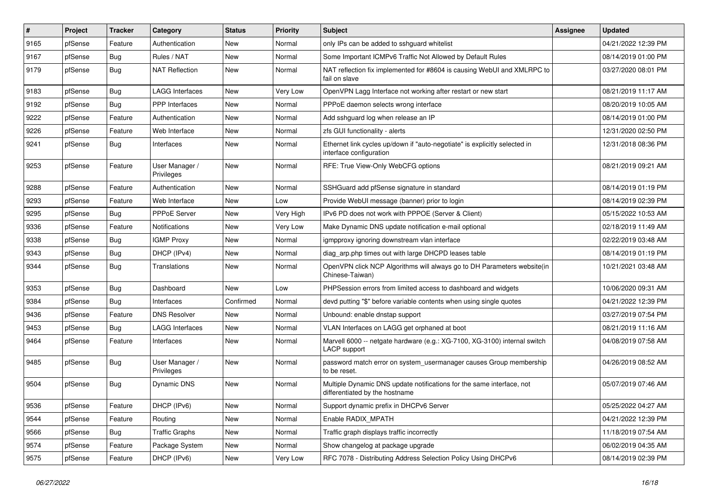| $\vert$ # | Project | <b>Tracker</b> | Category                     | <b>Status</b> | <b>Priority</b> | Subject                                                                                                 | <b>Assignee</b> | <b>Updated</b>      |
|-----------|---------|----------------|------------------------------|---------------|-----------------|---------------------------------------------------------------------------------------------------------|-----------------|---------------------|
| 9165      | pfSense | Feature        | Authentication               | New           | Normal          | only IPs can be added to sshguard whitelist                                                             |                 | 04/21/2022 12:39 PM |
| 9167      | pfSense | <b>Bug</b>     | Rules / NAT                  | New           | Normal          | Some Important ICMPv6 Traffic Not Allowed by Default Rules                                              |                 | 08/14/2019 01:00 PM |
| 9179      | pfSense | <b>Bug</b>     | <b>NAT Reflection</b>        | New           | Normal          | NAT reflection fix implemented for #8604 is causing WebUI and XMLRPC to<br>fail on slave                |                 | 03/27/2020 08:01 PM |
| 9183      | pfSense | Bug            | <b>LAGG Interfaces</b>       | <b>New</b>    | <b>Very Low</b> | OpenVPN Lagg Interface not working after restart or new start                                           |                 | 08/21/2019 11:17 AM |
| 9192      | pfSense | <b>Bug</b>     | <b>PPP</b> Interfaces        | New           | Normal          | PPPoE daemon selects wrong interface                                                                    |                 | 08/20/2019 10:05 AM |
| 9222      | pfSense | Feature        | Authentication               | New           | Normal          | Add sshguard log when release an IP                                                                     |                 | 08/14/2019 01:00 PM |
| 9226      | pfSense | Feature        | Web Interface                | New           | Normal          | zfs GUI functionality - alerts                                                                          |                 | 12/31/2020 02:50 PM |
| 9241      | pfSense | Bug            | Interfaces                   | New           | Normal          | Ethernet link cycles up/down if "auto-negotiate" is explicitly selected in<br>interface configuration   |                 | 12/31/2018 08:36 PM |
| 9253      | pfSense | Feature        | User Manager /<br>Privileges | New           | Normal          | RFE: True View-Only WebCFG options                                                                      |                 | 08/21/2019 09:21 AM |
| 9288      | pfSense | Feature        | Authentication               | <b>New</b>    | Normal          | SSHGuard add pfSense signature in standard                                                              |                 | 08/14/2019 01:19 PM |
| 9293      | pfSense | Feature        | Web Interface                | New           | Low             | Provide WebUI message (banner) prior to login                                                           |                 | 08/14/2019 02:39 PM |
| 9295      | pfSense | <b>Bug</b>     | PPPoE Server                 | New           | Very High       | IPv6 PD does not work with PPPOE (Server & Client)                                                      |                 | 05/15/2022 10:53 AM |
| 9336      | pfSense | Feature        | <b>Notifications</b>         | New           | Very Low        | Make Dynamic DNS update notification e-mail optional                                                    |                 | 02/18/2019 11:49 AM |
| 9338      | pfSense | Bug            | <b>IGMP Proxy</b>            | New           | Normal          | igmpproxy ignoring downstream vlan interface                                                            |                 | 02/22/2019 03:48 AM |
| 9343      | pfSense | <b>Bug</b>     | DHCP (IPv4)                  | New           | Normal          | diag arp.php times out with large DHCPD leases table                                                    |                 | 08/14/2019 01:19 PM |
| 9344      | pfSense | <b>Bug</b>     | Translations                 | New           | Normal          | OpenVPN click NCP Algorithms will always go to DH Parameters website(in<br>Chinese-Taiwan)              |                 | 10/21/2021 03:48 AM |
| 9353      | pfSense | <b>Bug</b>     | Dashboard                    | <b>New</b>    | Low             | PHPSession errors from limited access to dashboard and widgets                                          |                 | 10/06/2020 09:31 AM |
| 9384      | pfSense | <b>Bug</b>     | Interfaces                   | Confirmed     | Normal          | devd putting "\$" before variable contents when using single quotes                                     |                 | 04/21/2022 12:39 PM |
| 9436      | pfSense | Feature        | <b>DNS Resolver</b>          | New           | Normal          | Unbound: enable dnstap support                                                                          |                 | 03/27/2019 07:54 PM |
| 9453      | pfSense | <b>Bug</b>     | <b>LAGG Interfaces</b>       | New           | Normal          | VLAN Interfaces on LAGG get orphaned at boot                                                            |                 | 08/21/2019 11:16 AM |
| 9464      | pfSense | Feature        | Interfaces                   | New           | Normal          | Marvell 6000 -- netgate hardware (e.g.: XG-7100, XG-3100) internal switch<br>LACP support               |                 | 04/08/2019 07:58 AM |
| 9485      | pfSense | Bug            | User Manager /<br>Privileges | New           | Normal          | password match error on system_usermanager causes Group membership<br>to be reset.                      |                 | 04/26/2019 08:52 AM |
| 9504      | pfSense | <b>Bug</b>     | Dynamic DNS                  | New           | Normal          | Multiple Dynamic DNS update notifications for the same interface, not<br>differentiated by the hostname |                 | 05/07/2019 07:46 AM |
| 9536      | pfSense | Feature        | DHCP (IPv6)                  | New           | Normal          | Support dynamic prefix in DHCPv6 Server                                                                 |                 | 05/25/2022 04:27 AM |
| 9544      | pfSense | Feature        | Routing                      | New           | Normal          | Enable RADIX_MPATH                                                                                      |                 | 04/21/2022 12:39 PM |
| 9566      | pfSense | <b>Bug</b>     | <b>Traffic Graphs</b>        | New           | Normal          | Traffic graph displays traffic incorrectly                                                              |                 | 11/18/2019 07:54 AM |
| 9574      | pfSense | Feature        | Package System               | New           | Normal          | Show changelog at package upgrade                                                                       |                 | 06/02/2019 04:35 AM |
| 9575      | pfSense | Feature        | DHCP (IPv6)                  | New           | Very Low        | RFC 7078 - Distributing Address Selection Policy Using DHCPv6                                           |                 | 08/14/2019 02:39 PM |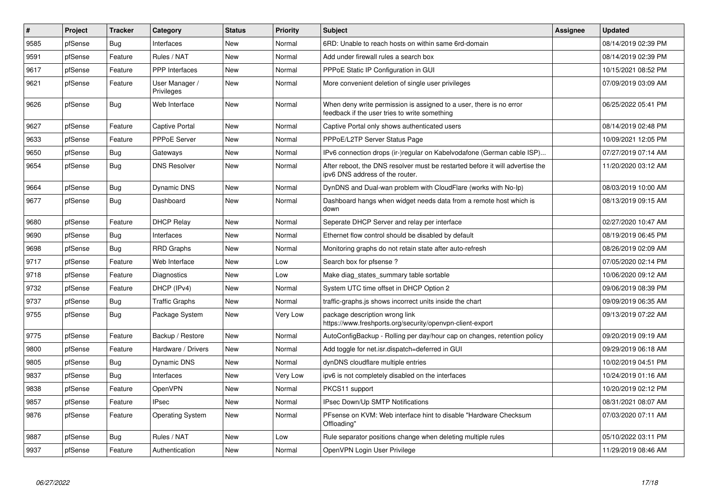| $\vert$ # | <b>Project</b> | <b>Tracker</b> | Category                     | <b>Status</b> | <b>Priority</b> | <b>Subject</b>                                                                                                       | <b>Assignee</b> | <b>Updated</b>      |
|-----------|----------------|----------------|------------------------------|---------------|-----------------|----------------------------------------------------------------------------------------------------------------------|-----------------|---------------------|
| 9585      | pfSense        | Bug            | Interfaces                   | New           | Normal          | 6RD: Unable to reach hosts on within same 6rd-domain                                                                 |                 | 08/14/2019 02:39 PM |
| 9591      | pfSense        | Feature        | Rules / NAT                  | <b>New</b>    | Normal          | Add under firewall rules a search box                                                                                |                 | 08/14/2019 02:39 PM |
| 9617      | pfSense        | Feature        | PPP Interfaces               | New           | Normal          | PPPoE Static IP Configuration in GUI                                                                                 |                 | 10/15/2021 08:52 PM |
| 9621      | pfSense        | Feature        | User Manager /<br>Privileges | New           | Normal          | More convenient deletion of single user privileges                                                                   |                 | 07/09/2019 03:09 AM |
| 9626      | pfSense        | Bug            | Web Interface                | <b>New</b>    | Normal          | When deny write permission is assigned to a user, there is no error<br>feedback if the user tries to write something |                 | 06/25/2022 05:41 PM |
| 9627      | pfSense        | Feature        | <b>Captive Portal</b>        | <b>New</b>    | Normal          | Captive Portal only shows authenticated users                                                                        |                 | 08/14/2019 02:48 PM |
| 9633      | pfSense        | Feature        | PPPoE Server                 | New           | Normal          | PPPoE/L2TP Server Status Page                                                                                        |                 | 10/09/2021 12:05 PM |
| 9650      | pfSense        | Bug            | Gateways                     | <b>New</b>    | Normal          | IPv6 connection drops (ir-)regular on Kabelvodafone (German cable ISP)                                               |                 | 07/27/2019 07:14 AM |
| 9654      | pfSense        | <b>Bug</b>     | <b>DNS Resolver</b>          | New           | Normal          | After reboot, the DNS resolver must be restarted before it will advertise the<br>ipv6 DNS address of the router.     |                 | 11/20/2020 03:12 AM |
| 9664      | pfSense        | Bug            | Dynamic DNS                  | <b>New</b>    | Normal          | DynDNS and Dual-wan problem with CloudFlare (works with No-Ip)                                                       |                 | 08/03/2019 10:00 AM |
| 9677      | pfSense        | Bug            | Dashboard                    | <b>New</b>    | Normal          | Dashboard hangs when widget needs data from a remote host which is<br>down                                           |                 | 08/13/2019 09:15 AM |
| 9680      | pfSense        | Feature        | <b>DHCP Relay</b>            | <b>New</b>    | Normal          | Seperate DHCP Server and relay per interface                                                                         |                 | 02/27/2020 10:47 AM |
| 9690      | pfSense        | <b>Bug</b>     | Interfaces                   | <b>New</b>    | Normal          | Ethernet flow control should be disabled by default                                                                  |                 | 08/19/2019 06:45 PM |
| 9698      | pfSense        | <b>Bug</b>     | <b>RRD Graphs</b>            | <b>New</b>    | Normal          | Monitoring graphs do not retain state after auto-refresh                                                             |                 | 08/26/2019 02:09 AM |
| 9717      | pfSense        | Feature        | Web Interface                | New           | Low             | Search box for pfsense?                                                                                              |                 | 07/05/2020 02:14 PM |
| 9718      | pfSense        | Feature        | Diagnostics                  | New           | Low             | Make diag_states_summary table sortable                                                                              |                 | 10/06/2020 09:12 AM |
| 9732      | pfSense        | Feature        | DHCP (IPv4)                  | New           | Normal          | System UTC time offset in DHCP Option 2                                                                              |                 | 09/06/2019 08:39 PM |
| 9737      | pfSense        | Bug            | <b>Traffic Graphs</b>        | New           | Normal          | traffic-graphs is shows incorrect units inside the chart                                                             |                 | 09/09/2019 06:35 AM |
| 9755      | pfSense        | Bug            | Package System               | New           | Very Low        | package description wrong link<br>https://www.freshports.org/security/openvpn-client-export                          |                 | 09/13/2019 07:22 AM |
| 9775      | pfSense        | Feature        | Backup / Restore             | <b>New</b>    | Normal          | AutoConfigBackup - Rolling per day/hour cap on changes, retention policy                                             |                 | 09/20/2019 09:19 AM |
| 9800      | pfSense        | Feature        | Hardware / Drivers           | New           | Normal          | Add toggle for net.isr.dispatch=deferred in GUI                                                                      |                 | 09/29/2019 06:18 AM |
| 9805      | pfSense        | Bug            | Dynamic DNS                  | New           | Normal          | dynDNS cloudflare multiple entries                                                                                   |                 | 10/02/2019 04:51 PM |
| 9837      | pfSense        | <b>Bug</b>     | Interfaces                   | New           | Very Low        | ipv6 is not completely disabled on the interfaces                                                                    |                 | 10/24/2019 01:16 AM |
| 9838      | pfSense        | Feature        | OpenVPN                      | New           | Normal          | PKCS11 support                                                                                                       |                 | 10/20/2019 02:12 PM |
| 9857      | pfSense        | Feature        | <b>IPsec</b>                 | New           | Normal          | <b>IPsec Down/Up SMTP Notifications</b>                                                                              |                 | 08/31/2021 08:07 AM |
| 9876      | pfSense        | Feature        | <b>Operating System</b>      | New           | Normal          | PFsense on KVM: Web interface hint to disable "Hardware Checksum"<br>Offloading'                                     |                 | 07/03/2020 07:11 AM |
| 9887      | pfSense        | Bug            | Rules / NAT                  | New           | Low             | Rule separator positions change when deleting multiple rules                                                         |                 | 05/10/2022 03:11 PM |
| 9937      | pfSense        | Feature        | Authentication               | <b>New</b>    | Normal          | OpenVPN Login User Privilege                                                                                         |                 | 11/29/2019 08:46 AM |